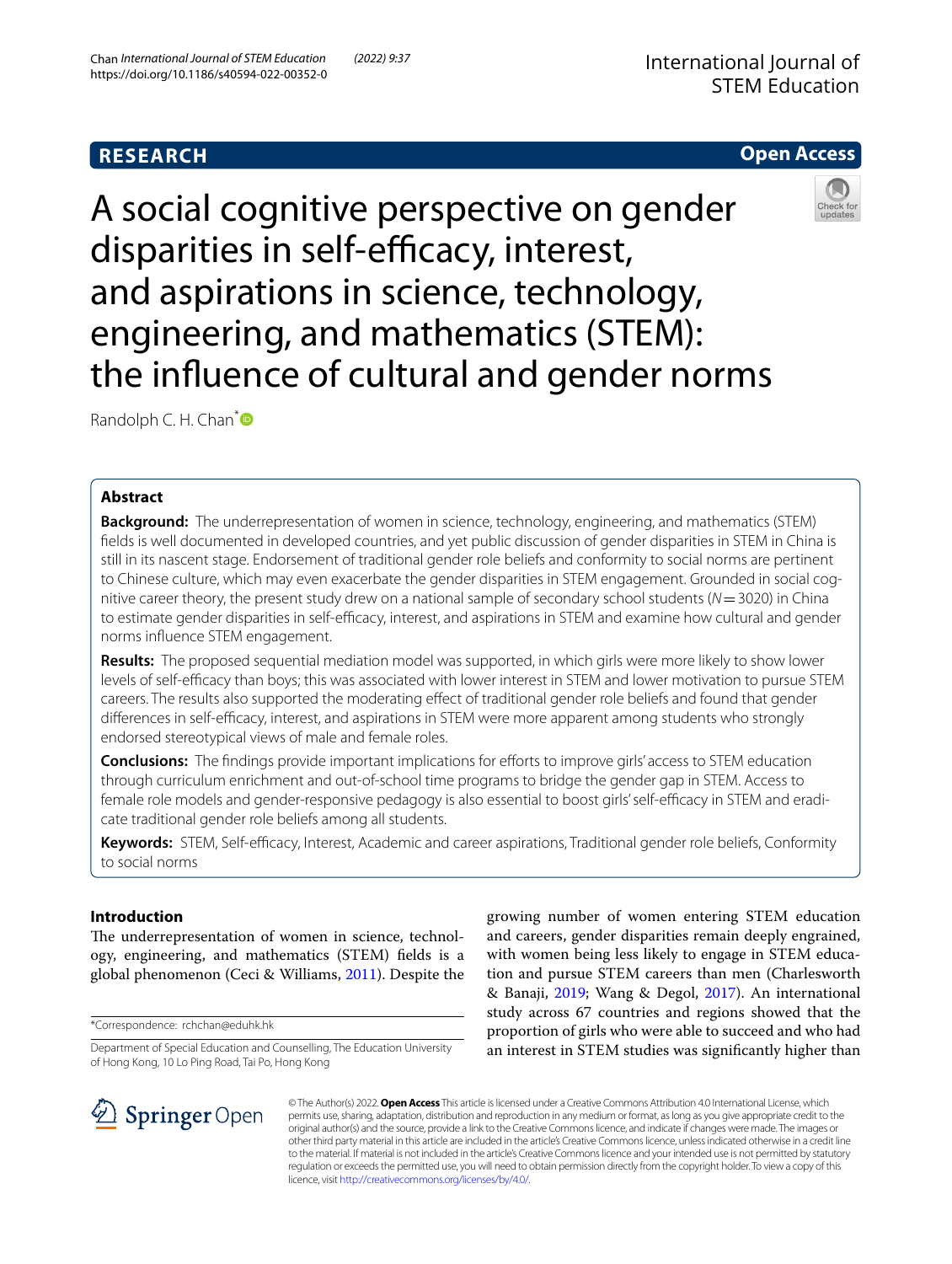# **RESEARCH**

# **Open Access**

A social cognitive perspective on gender disparities in self-efficacy, interest, and aspirations in science, technology, engineering, and mathematics (STEM): the infuence of cultural and gender norms

Randolph C. H. Chan<sup>\*</sup>

## **Abstract**

**Background:** The underrepresentation of women in science, technology, engineering, and mathematics (STEM) felds is well documented in developed countries, and yet public discussion of gender disparities in STEM in China is still in its nascent stage. Endorsement of traditional gender role beliefs and conformity to social norms are pertinent to Chinese culture, which may even exacerbate the gender disparities in STEM engagement. Grounded in social cognitive career theory, the present study drew on a national sample of secondary school students (*N*=3020) in China to estimate gender disparities in self-efficacy, interest, and aspirations in STEM and examine how cultural and gender norms infuence STEM engagement.

**Results:** The proposed sequential mediation model was supported, in which girls were more likely to show lower levels of self-efficacy than boys; this was associated with lower interest in STEM and lower motivation to pursue STEM careers. The results also supported the moderating efect of traditional gender role beliefs and found that gender differences in self-efficacy, interest, and aspirations in STEM were more apparent among students who strongly endorsed stereotypical views of male and female roles.

**Conclusions:** The findings provide important implications for efforts to improve girls' access to STEM education through curriculum enrichment and out-of-school time programs to bridge the gender gap in STEM. Access to female role models and gender-responsive pedagogy is also essential to boost girls' self-efficacy in STEM and eradicate traditional gender role beliefs among all students.

Keywords: STEM, Self-efficacy, Interest, Academic and career aspirations, Traditional gender role beliefs, Conformity to social norms

## **Introduction**

The underrepresentation of women in science, technology, engineering, and mathematics (STEM) felds is a global phenomenon (Ceci & Williams, [2011\)](#page-11-0). Despite the

\*Correspondence: rchchan@eduhk.hk

Department of Special Education and Counselling, The Education University of Hong Kong, 10 Lo Ping Road, Tai Po, Hong Kong

growing number of women entering STEM education and careers, gender disparities remain deeply engrained, with women being less likely to engage in STEM education and pursue STEM careers than men (Charlesworth & Banaji, [2019;](#page-11-1) Wang & Degol, [2017\)](#page-12-0). An international study across 67 countries and regions showed that the proportion of girls who were able to succeed and who had an interest in STEM studies was signifcantly higher than



© The Author(s) 2022. **Open Access** This article is licensed under a Creative Commons Attribution 4.0 International License, which permits use, sharing, adaptation, distribution and reproduction in any medium or format, as long as you give appropriate credit to the original author(s) and the source, provide a link to the Creative Commons licence, and indicate if changes were made. The images or other third party material in this article are included in the article's Creative Commons licence, unless indicated otherwise in a credit line to the material. If material is not included in the article's Creative Commons licence and your intended use is not permitted by statutory regulation or exceeds the permitted use, you will need to obtain permission directly from the copyright holder. To view a copy of this licence, visit [http://creativecommons.org/licenses/by/4.0/.](http://creativecommons.org/licenses/by/4.0/)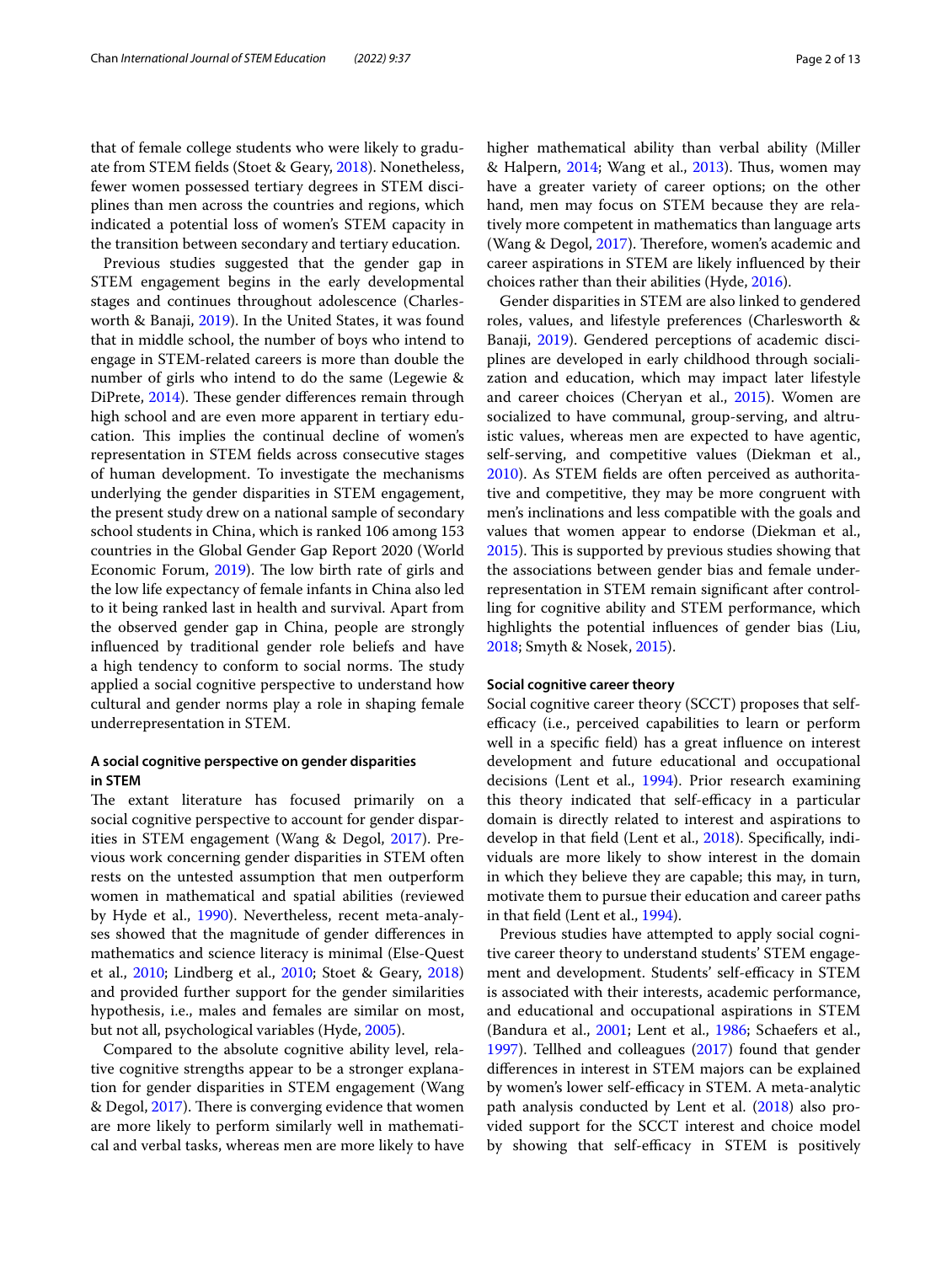that of female college students who were likely to graduate from STEM felds (Stoet & Geary, [2018](#page-12-1)). Nonetheless, fewer women possessed tertiary degrees in STEM disciplines than men across the countries and regions, which indicated a potential loss of women's STEM capacity in the transition between secondary and tertiary education.

Previous studies suggested that the gender gap in STEM engagement begins in the early developmental stages and continues throughout adolescence (Charlesworth & Banaji, [2019](#page-11-1)). In the United States, it was found that in middle school, the number of boys who intend to engage in STEM-related careers is more than double the number of girls who intend to do the same (Legewie & DiPrete, [2014\)](#page-12-2). These gender differences remain through high school and are even more apparent in tertiary education. This implies the continual decline of women's representation in STEM felds across consecutive stages of human development. To investigate the mechanisms underlying the gender disparities in STEM engagement, the present study drew on a national sample of secondary school students in China, which is ranked 106 among 153 countries in the Global Gender Gap Report 2020 (World Economic Forum,  $2019$ ). The low birth rate of girls and the low life expectancy of female infants in China also led to it being ranked last in health and survival. Apart from the observed gender gap in China, people are strongly infuenced by traditional gender role beliefs and have a high tendency to conform to social norms. The study applied a social cognitive perspective to understand how cultural and gender norms play a role in shaping female underrepresentation in STEM.

## **A social cognitive perspective on gender disparities in STEM**

The extant literature has focused primarily on a social cognitive perspective to account for gender disparities in STEM engagement (Wang & Degol, [2017](#page-12-0)). Previous work concerning gender disparities in STEM often rests on the untested assumption that men outperform women in mathematical and spatial abilities (reviewed by Hyde et al., [1990\)](#page-12-4). Nevertheless, recent meta-analyses showed that the magnitude of gender diferences in mathematics and science literacy is minimal (Else-Quest et al., [2010;](#page-11-2) Lindberg et al., [2010;](#page-12-5) Stoet & Geary, [2018](#page-12-1)) and provided further support for the gender similarities hypothesis, i.e., males and females are similar on most, but not all, psychological variables (Hyde, [2005](#page-12-6)).

Compared to the absolute cognitive ability level, relative cognitive strengths appear to be a stronger explanation for gender disparities in STEM engagement (Wang & Degol, [2017](#page-12-0)). There is converging evidence that women are more likely to perform similarly well in mathematical and verbal tasks, whereas men are more likely to have higher mathematical ability than verbal ability (Miller & Halpern, [2014](#page-12-7); Wang et al., [2013](#page-12-8)). Thus, women may have a greater variety of career options; on the other hand, men may focus on STEM because they are relatively more competent in mathematics than language arts (Wang & Degol, [2017\)](#page-12-0). Therefore, women's academic and career aspirations in STEM are likely infuenced by their choices rather than their abilities (Hyde, [2016\)](#page-12-9).

Gender disparities in STEM are also linked to gendered roles, values, and lifestyle preferences (Charlesworth & Banaji, [2019\)](#page-11-1). Gendered perceptions of academic disciplines are developed in early childhood through socialization and education, which may impact later lifestyle and career choices (Cheryan et al., [2015](#page-11-3)). Women are socialized to have communal, group-serving, and altruistic values, whereas men are expected to have agentic, self-serving, and competitive values (Diekman et al., [2010](#page-11-4)). As STEM felds are often perceived as authoritative and competitive, they may be more congruent with men's inclinations and less compatible with the goals and values that women appear to endorse (Diekman et al., [2015](#page-11-5)). This is supported by previous studies showing that the associations between gender bias and female underrepresentation in STEM remain signifcant after controlling for cognitive ability and STEM performance, which highlights the potential infuences of gender bias (Liu, [2018](#page-12-10); Smyth & Nosek, [2015\)](#page-12-11).

## **Social cognitive career theory**

Social cognitive career theory (SCCT) proposes that selfefficacy (i.e., perceived capabilities to learn or perform well in a specifc feld) has a great infuence on interest development and future educational and occupational decisions (Lent et al., [1994](#page-12-12)). Prior research examining this theory indicated that self-efficacy in a particular domain is directly related to interest and aspirations to develop in that feld (Lent et al., [2018\)](#page-12-13). Specifcally, individuals are more likely to show interest in the domain in which they believe they are capable; this may, in turn, motivate them to pursue their education and career paths in that feld (Lent et al., [1994](#page-12-12)).

Previous studies have attempted to apply social cognitive career theory to understand students' STEM engagement and development. Students' self-efficacy in STEM is associated with their interests, academic performance, and educational and occupational aspirations in STEM (Bandura et al., [2001;](#page-11-6) Lent et al., [1986](#page-12-14); Schaefers et al., [1997](#page-12-15)). Tellhed and colleagues ([2017\)](#page-12-16) found that gender diferences in interest in STEM majors can be explained by women's lower self-efficacy in STEM. A meta-analytic path analysis conducted by Lent et al. [\(2018\)](#page-12-13) also provided support for the SCCT interest and choice model by showing that self-efficacy in STEM is positively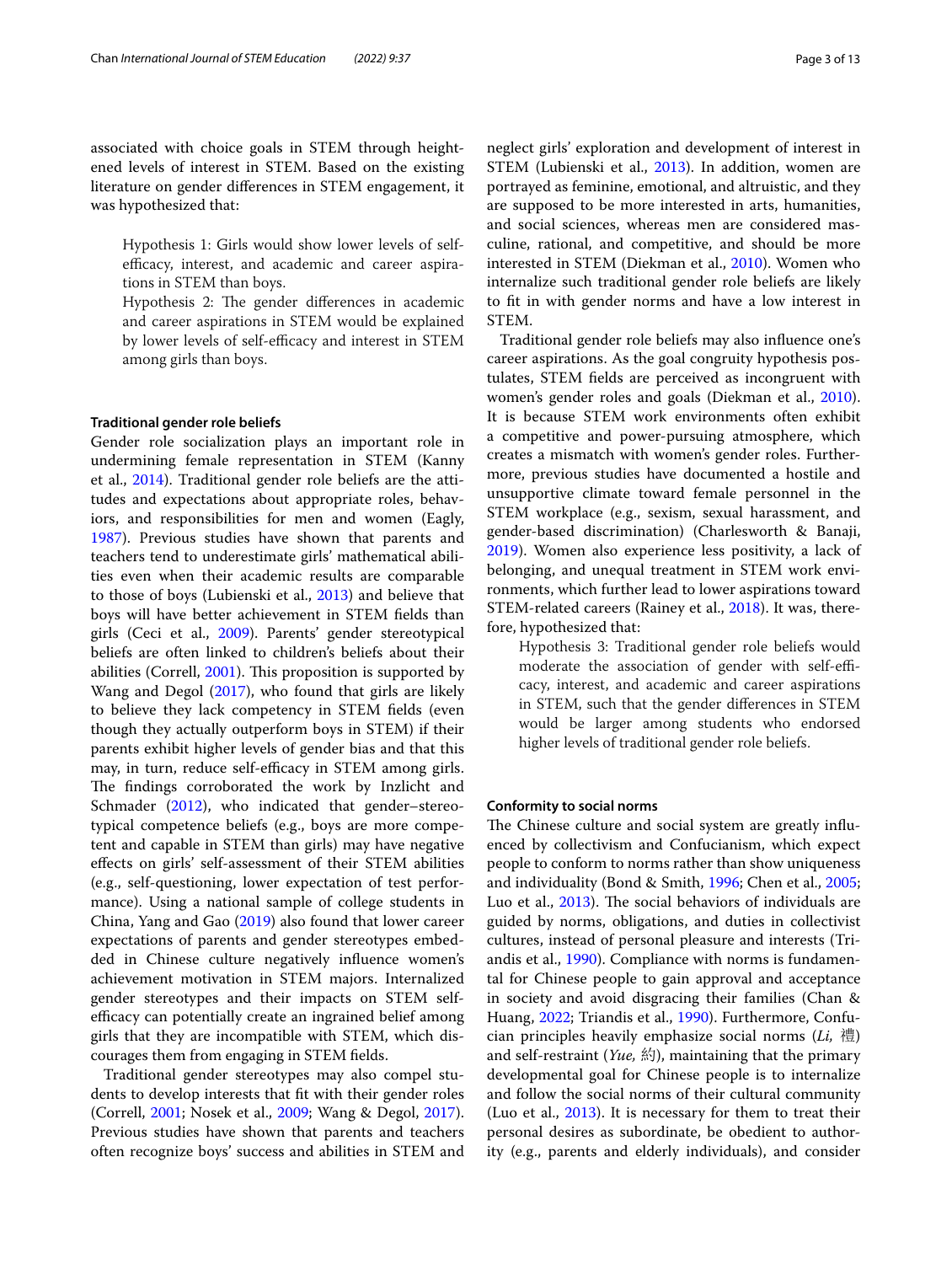associated with choice goals in STEM through heightened levels of interest in STEM. Based on the existing literature on gender diferences in STEM engagement, it was hypothesized that:

Hypothesis 1: Girls would show lower levels of selfefficacy, interest, and academic and career aspirations in STEM than boys.

Hypothesis 2: The gender differences in academic and career aspirations in STEM would be explained by lower levels of self-efficacy and interest in STEM among girls than boys.

#### **Traditional gender role beliefs**

Gender role socialization plays an important role in undermining female representation in STEM (Kanny et al., [2014\)](#page-12-17). Traditional gender role beliefs are the attitudes and expectations about appropriate roles, behaviors, and responsibilities for men and women (Eagly, [1987](#page-11-7)). Previous studies have shown that parents and teachers tend to underestimate girls' mathematical abilities even when their academic results are comparable to those of boys (Lubienski et al., [2013\)](#page-12-18) and believe that boys will have better achievement in STEM felds than girls (Ceci et al., [2009](#page-11-8)). Parents' gender stereotypical beliefs are often linked to children's beliefs about their abilities (Correll,  $2001$ ). This proposition is supported by Wang and Degol [\(2017\)](#page-12-0), who found that girls are likely to believe they lack competency in STEM felds (even though they actually outperform boys in STEM) if their parents exhibit higher levels of gender bias and that this may, in turn, reduce self-efficacy in STEM among girls. The findings corroborated the work by Inzlicht and Schmader [\(2012\)](#page-12-19), who indicated that gender–stereotypical competence beliefs (e.g., boys are more competent and capable in STEM than girls) may have negative efects on girls' self-assessment of their STEM abilities (e.g., self-questioning, lower expectation of test performance). Using a national sample of college students in China, Yang and Gao ([2019](#page-12-20)) also found that lower career expectations of parents and gender stereotypes embedded in Chinese culture negatively infuence women's achievement motivation in STEM majors. Internalized gender stereotypes and their impacts on STEM selfefficacy can potentially create an ingrained belief among girls that they are incompatible with STEM, which discourages them from engaging in STEM felds.

Traditional gender stereotypes may also compel students to develop interests that ft with their gender roles (Correll, [2001;](#page-11-9) Nosek et al., [2009](#page-12-21); Wang & Degol, [2017](#page-12-0)). Previous studies have shown that parents and teachers often recognize boys' success and abilities in STEM and neglect girls' exploration and development of interest in STEM (Lubienski et al., [2013](#page-12-18)). In addition, women are portrayed as feminine, emotional, and altruistic, and they are supposed to be more interested in arts, humanities, and social sciences, whereas men are considered masculine, rational, and competitive, and should be more interested in STEM (Diekman et al., [2010](#page-11-4)). Women who internalize such traditional gender role beliefs are likely to ft in with gender norms and have a low interest in STEM.

Traditional gender role beliefs may also infuence one's career aspirations. As the goal congruity hypothesis postulates, STEM felds are perceived as incongruent with women's gender roles and goals (Diekman et al., [2010](#page-11-4)). It is because STEM work environments often exhibit a competitive and power-pursuing atmosphere, which creates a mismatch with women's gender roles. Furthermore, previous studies have documented a hostile and unsupportive climate toward female personnel in the STEM workplace (e.g., sexism, sexual harassment, and gender-based discrimination) (Charlesworth & Banaji, [2019](#page-11-1)). Women also experience less positivity, a lack of belonging, and unequal treatment in STEM work environments, which further lead to lower aspirations toward STEM-related careers (Rainey et al., [2018\)](#page-12-22). It was, therefore, hypothesized that:

Hypothesis 3: Traditional gender role beliefs would moderate the association of gender with self-efficacy, interest, and academic and career aspirations in STEM, such that the gender diferences in STEM would be larger among students who endorsed higher levels of traditional gender role beliefs.

## **Conformity to social norms**

The Chinese culture and social system are greatly influenced by collectivism and Confucianism, which expect people to conform to norms rather than show uniqueness and individuality (Bond & Smith, [1996;](#page-11-10) Chen et al., [2005](#page-11-11); Luo et al., [2013\)](#page-12-23). The social behaviors of individuals are guided by norms, obligations, and duties in collectivist cultures, instead of personal pleasure and interests (Triandis et al., [1990\)](#page-12-24). Compliance with norms is fundamental for Chinese people to gain approval and acceptance in society and avoid disgracing their families (Chan & Huang, [2022](#page-11-12); Triandis et al., [1990\)](#page-12-24). Furthermore, Confucian principles heavily emphasize social norms (*Li,* 禮) and self-restraint (*Yue,* 約), maintaining that the primary developmental goal for Chinese people is to internalize and follow the social norms of their cultural community (Luo et al.,  $2013$ ). It is necessary for them to treat their personal desires as subordinate, be obedient to authority (e.g., parents and elderly individuals), and consider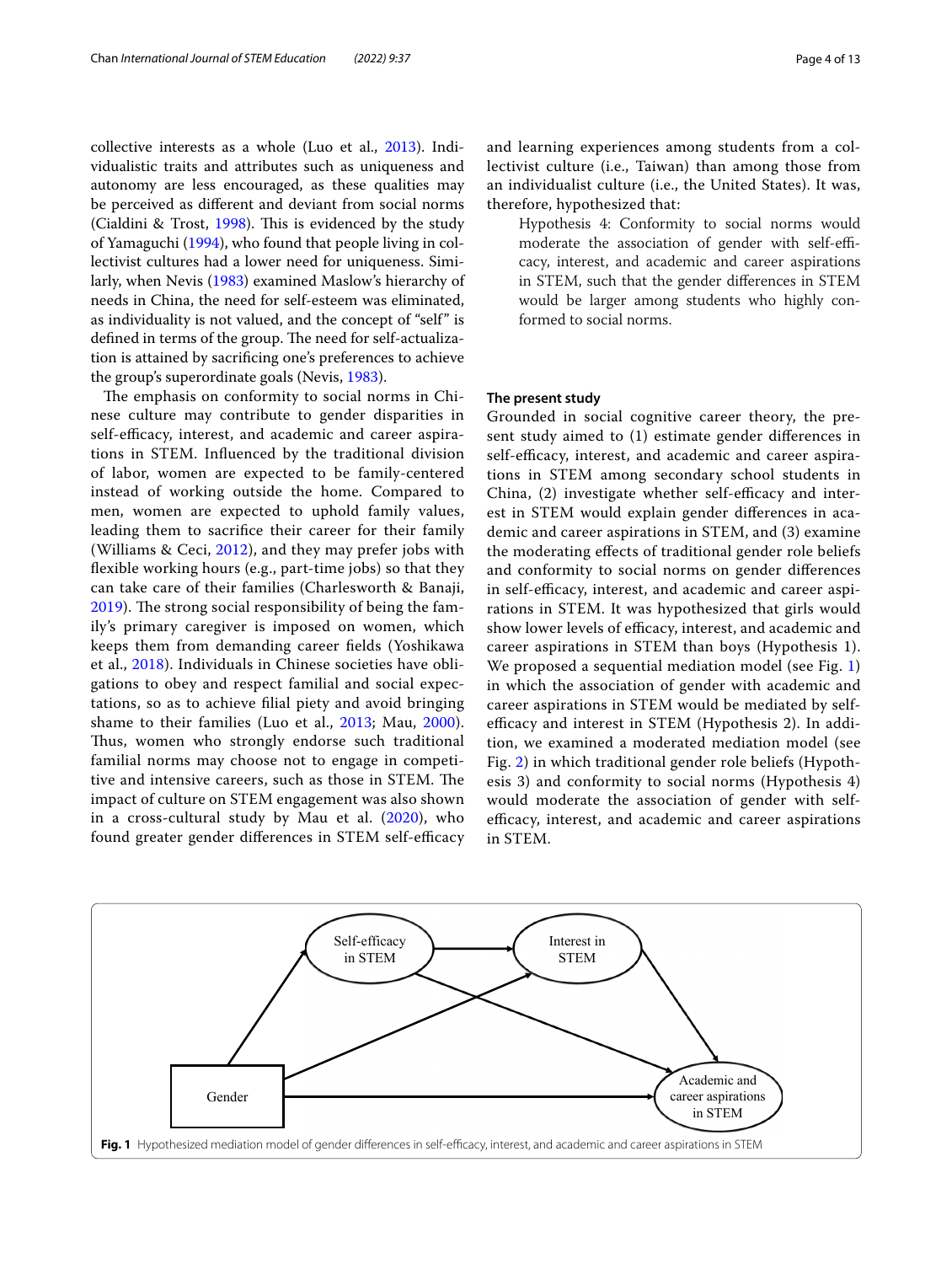collective interests as a whole (Luo et al., [2013](#page-12-23)). Individualistic traits and attributes such as uniqueness and autonomy are less encouraged, as these qualities may be perceived as diferent and deviant from social norms (Cialdini & Trost, [1998](#page-11-13)). This is evidenced by the study of Yamaguchi ([1994](#page-12-25)), who found that people living in collectivist cultures had a lower need for uniqueness. Similarly, when Nevis ([1983\)](#page-12-26) examined Maslow's hierarchy of needs in China, the need for self-esteem was eliminated, as individuality is not valued, and the concept of "self" is defined in terms of the group. The need for self-actualization is attained by sacrifcing one's preferences to achieve the group's superordinate goals (Nevis, [1983\)](#page-12-26).

The emphasis on conformity to social norms in Chinese culture may contribute to gender disparities in self-efficacy, interest, and academic and career aspirations in STEM. Infuenced by the traditional division of labor, women are expected to be family-centered instead of working outside the home. Compared to men, women are expected to uphold family values, leading them to sacrifce their career for their family (Williams & Ceci,  $2012$ ), and they may prefer jobs with fexible working hours (e.g., part-time jobs) so that they can take care of their families (Charlesworth & Banaji, [2019\)](#page-11-1). The strong social responsibility of being the family's primary caregiver is imposed on women, which keeps them from demanding career felds (Yoshikawa et al., [2018\)](#page-12-28). Individuals in Chinese societies have obligations to obey and respect familial and social expectations, so as to achieve flial piety and avoid bringing shame to their families (Luo et al., [2013;](#page-12-23) Mau, [2000](#page-12-29)). Thus, women who strongly endorse such traditional familial norms may choose not to engage in competitive and intensive careers, such as those in STEM. The impact of culture on STEM engagement was also shown in a cross-cultural study by Mau et al. ([2020\)](#page-12-30), who found greater gender differences in STEM self-efficacy and learning experiences among students from a collectivist culture (i.e., Taiwan) than among those from an individualist culture (i.e., the United States). It was, therefore, hypothesized that:

Hypothesis 4: Conformity to social norms would moderate the association of gender with self-efficacy, interest, and academic and career aspirations in STEM, such that the gender diferences in STEM would be larger among students who highly conformed to social norms.

## **The present study**

Grounded in social cognitive career theory, the present study aimed to (1) estimate gender diferences in self-efficacy, interest, and academic and career aspirations in STEM among secondary school students in China,  $(2)$  investigate whether self-efficacy and interest in STEM would explain gender diferences in academic and career aspirations in STEM, and (3) examine the moderating efects of traditional gender role beliefs and conformity to social norms on gender diferences in self-efficacy, interest, and academic and career aspirations in STEM. It was hypothesized that girls would show lower levels of efficacy, interest, and academic and career aspirations in STEM than boys (Hypothesis 1). We proposed a sequential mediation model (see Fig. [1](#page-3-0)) in which the association of gender with academic and career aspirations in STEM would be mediated by selfefficacy and interest in STEM (Hypothesis 2). In addition, we examined a moderated mediation model (see Fig. [2\)](#page-4-0) in which traditional gender role beliefs (Hypothesis 3) and conformity to social norms (Hypothesis 4) would moderate the association of gender with selfefficacy, interest, and academic and career aspirations in STEM.

<span id="page-3-0"></span>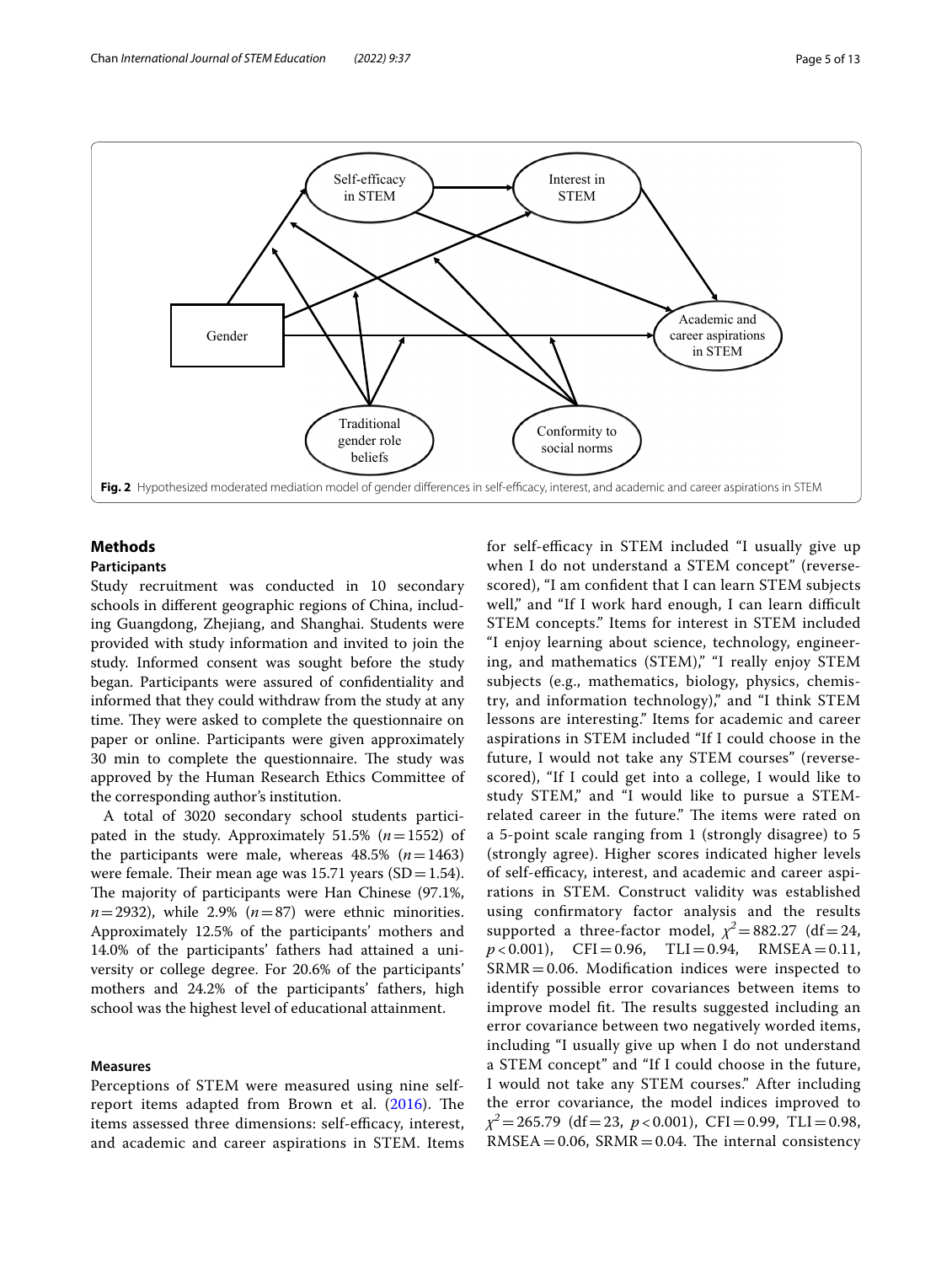

## <span id="page-4-0"></span>**Methods**

## **Participants**

Study recruitment was conducted in 10 secondary schools in diferent geographic regions of China, including Guangdong, Zhejiang, and Shanghai. Students were provided with study information and invited to join the study. Informed consent was sought before the study began. Participants were assured of confdentiality and informed that they could withdraw from the study at any time. They were asked to complete the questionnaire on paper or online. Participants were given approximately 30 min to complete the questionnaire. The study was approved by the Human Research Ethics Committee of the corresponding author's institution.

A total of 3020 secondary school students participated in the study. Approximately 51.5% (*n*=1552) of the participants were male, whereas  $48.5\%$  ( $n=1463$ ) were female. Their mean age was  $15.71$  years (SD = 1.54). The majority of participants were Han Chinese (97.1%,  $n=2932$ ), while 2.9% ( $n=87$ ) were ethnic minorities. Approximately 12.5% of the participants' mothers and 14.0% of the participants' fathers had attained a university or college degree. For 20.6% of the participants' mothers and 24.2% of the participants' fathers, high school was the highest level of educational attainment.

### **Measures**

Perceptions of STEM were measured using nine selfreport items adapted from Brown et al.  $(2016)$  $(2016)$ . The items assessed three dimensions: self-efficacy, interest, and academic and career aspirations in STEM. Items for self-efficacy in STEM included "I usually give up when I do not understand a STEM concept" (reversescored), "I am confdent that I can learn STEM subjects well," and "If I work hard enough, I can learn difficult STEM concepts." Items for interest in STEM included "I enjoy learning about science, technology, engineering, and mathematics (STEM)," "I really enjoy STEM subjects (e.g., mathematics, biology, physics, chemistry, and information technology)," and "I think STEM lessons are interesting." Items for academic and career aspirations in STEM included "If I could choose in the future, I would not take any STEM courses" (reversescored), "If I could get into a college, I would like to study STEM," and "I would like to pursue a STEMrelated career in the future." The items were rated on a 5-point scale ranging from 1 (strongly disagree) to 5 (strongly agree). Higher scores indicated higher levels of self-efficacy, interest, and academic and career aspirations in STEM. Construct validity was established using confrmatory factor analysis and the results supported a three-factor model,  $\chi^2$  = 882.27 (df = 24,  $p < 0.001$ ), CFI=0.96, TLI=0.94, RMSEA=0.11,  $SRMR = 0.06$ . Modification indices were inspected to identify possible error covariances between items to improve model fit. The results suggested including an error covariance between two negatively worded items, including "I usually give up when I do not understand a STEM concept" and "If I could choose in the future, I would not take any STEM courses." After including the error covariance, the model indices improved to *χ<sup>2</sup>*=265.79 (df=23, *p* < 0.001), CFI=0.99, TLI=0.98,  $RMSEA = 0.06$ ,  $SRMR = 0.04$ . The internal consistency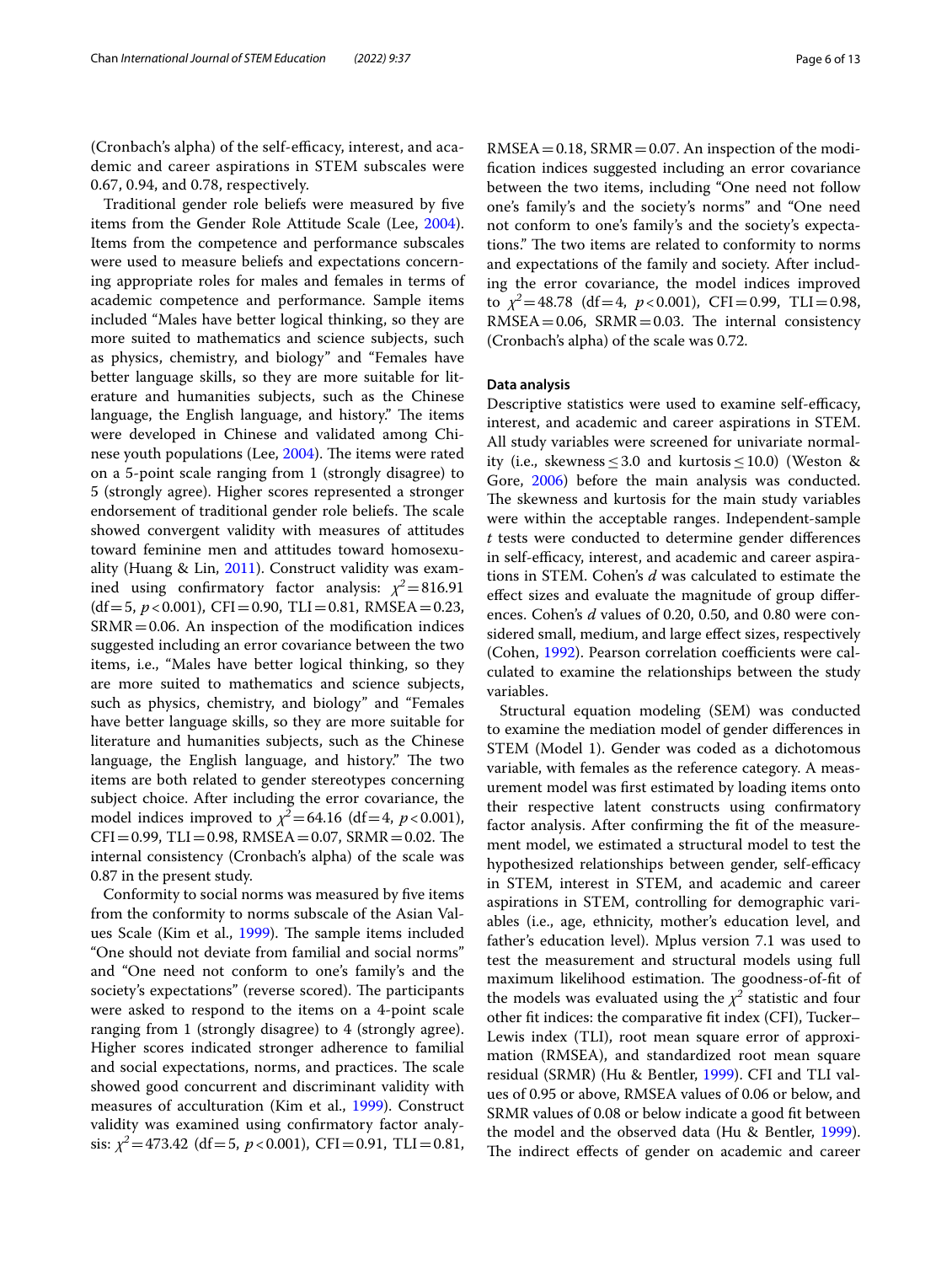(Cronbach's alpha) of the self-efficacy, interest, and academic and career aspirations in STEM subscales were 0.67, 0.94, and 0.78, respectively.

Traditional gender role beliefs were measured by fve items from the Gender Role Attitude Scale (Lee, [2004](#page-12-31)). Items from the competence and performance subscales were used to measure beliefs and expectations concerning appropriate roles for males and females in terms of academic competence and performance. Sample items included "Males have better logical thinking, so they are more suited to mathematics and science subjects, such as physics, chemistry, and biology" and "Females have better language skills, so they are more suitable for literature and humanities subjects, such as the Chinese language, the English language, and history." The items were developed in Chinese and validated among Chi-nese youth populations (Lee, [2004\)](#page-12-31). The items were rated on a 5-point scale ranging from 1 (strongly disagree) to 5 (strongly agree). Higher scores represented a stronger endorsement of traditional gender role beliefs. The scale showed convergent validity with measures of attitudes toward feminine men and attitudes toward homosexuality (Huang & Lin, [2011](#page-12-32)). Construct validity was examined using confirmatory factor analysis:  $\chi^2$  = 816.91  $(df=5, p<0.001)$ , CFI=0.90, TLI=0.81, RMSEA=0.23,  $SRMR = 0.06$ . An inspection of the modification indices suggested including an error covariance between the two items, i.e., "Males have better logical thinking, so they are more suited to mathematics and science subjects, such as physics, chemistry, and biology" and "Females have better language skills, so they are more suitable for literature and humanities subjects, such as the Chinese language, the English language, and history." The two items are both related to gender stereotypes concerning subject choice. After including the error covariance, the model indices improved to  $\chi^2$  = 64.16 (df = 4, *p* < 0.001),  $CFI = 0.99$ ,  $TLI = 0.98$ ,  $RMSEA = 0.07$ ,  $SRMR = 0.02$ . The internal consistency (Cronbach's alpha) of the scale was 0.87 in the present study.

Conformity to social norms was measured by fve items from the conformity to norms subscale of the Asian Val-ues Scale (Kim et al., [1999\)](#page-12-33). The sample items included "One should not deviate from familial and social norms" and "One need not conform to one's family's and the society's expectations" (reverse scored). The participants were asked to respond to the items on a 4-point scale ranging from 1 (strongly disagree) to 4 (strongly agree). Higher scores indicated stronger adherence to familial and social expectations, norms, and practices. The scale showed good concurrent and discriminant validity with measures of acculturation (Kim et al., [1999\)](#page-12-33). Construct validity was examined using confrmatory factor analysis:  $\chi^2$ =473.42 (df=5, *p* < 0.001), CFI=0.91, TLI=0.81,  $RMSEA = 0.18$ ,  $SRMR = 0.07$ . An inspection of the modifcation indices suggested including an error covariance between the two items, including "One need not follow one's family's and the society's norms" and "One need not conform to one's family's and the society's expectations." The two items are related to conformity to norms and expectations of the family and society. After including the error covariance, the model indices improved to  $\chi^2$  = 48.78 (df = 4,  $p$  < 0.001), CFI = 0.99, TLI = 0.98,  $RMSEA = 0.06$ ,  $SRMR = 0.03$ . The internal consistency (Cronbach's alpha) of the scale was 0.72.

#### **Data analysis**

Descriptive statistics were used to examine self-efficacy, interest, and academic and career aspirations in STEM. All study variables were screened for univariate normality (i.e., skewness  $\leq 3.0$  and kurtosis  $\leq 10.0$ ) (Weston & Gore, [2006](#page-12-34)) before the main analysis was conducted. The skewness and kurtosis for the main study variables were within the acceptable ranges. Independent-sample *t* tests were conducted to determine gender diferences in self-efficacy, interest, and academic and career aspirations in STEM. Cohen's *d* was calculated to estimate the efect sizes and evaluate the magnitude of group diferences. Cohen's *d* values of 0.20, 0.50, and 0.80 were considered small, medium, and large efect sizes, respectively (Cohen, [1992\)](#page-11-15). Pearson correlation coefficients were calculated to examine the relationships between the study variables.

Structural equation modeling (SEM) was conducted to examine the mediation model of gender diferences in STEM (Model 1). Gender was coded as a dichotomous variable, with females as the reference category. A measurement model was frst estimated by loading items onto their respective latent constructs using confrmatory factor analysis. After confrming the ft of the measurement model, we estimated a structural model to test the hypothesized relationships between gender, self-efficacy in STEM, interest in STEM, and academic and career aspirations in STEM, controlling for demographic variables (i.e., age, ethnicity, mother's education level, and father's education level). Mplus version 7.1 was used to test the measurement and structural models using full maximum likelihood estimation. The goodness-of-fit of the models was evaluated using the  $\chi^2$  statistic and four other ft indices: the comparative ft index (CFI), Tucker– Lewis index (TLI), root mean square error of approximation (RMSEA), and standardized root mean square residual (SRMR) (Hu & Bentler, [1999](#page-12-35)). CFI and TLI values of 0.95 or above, RMSEA values of 0.06 or below, and SRMR values of 0.08 or below indicate a good ft between the model and the observed data (Hu & Bentler, [1999](#page-12-35)). The indirect effects of gender on academic and career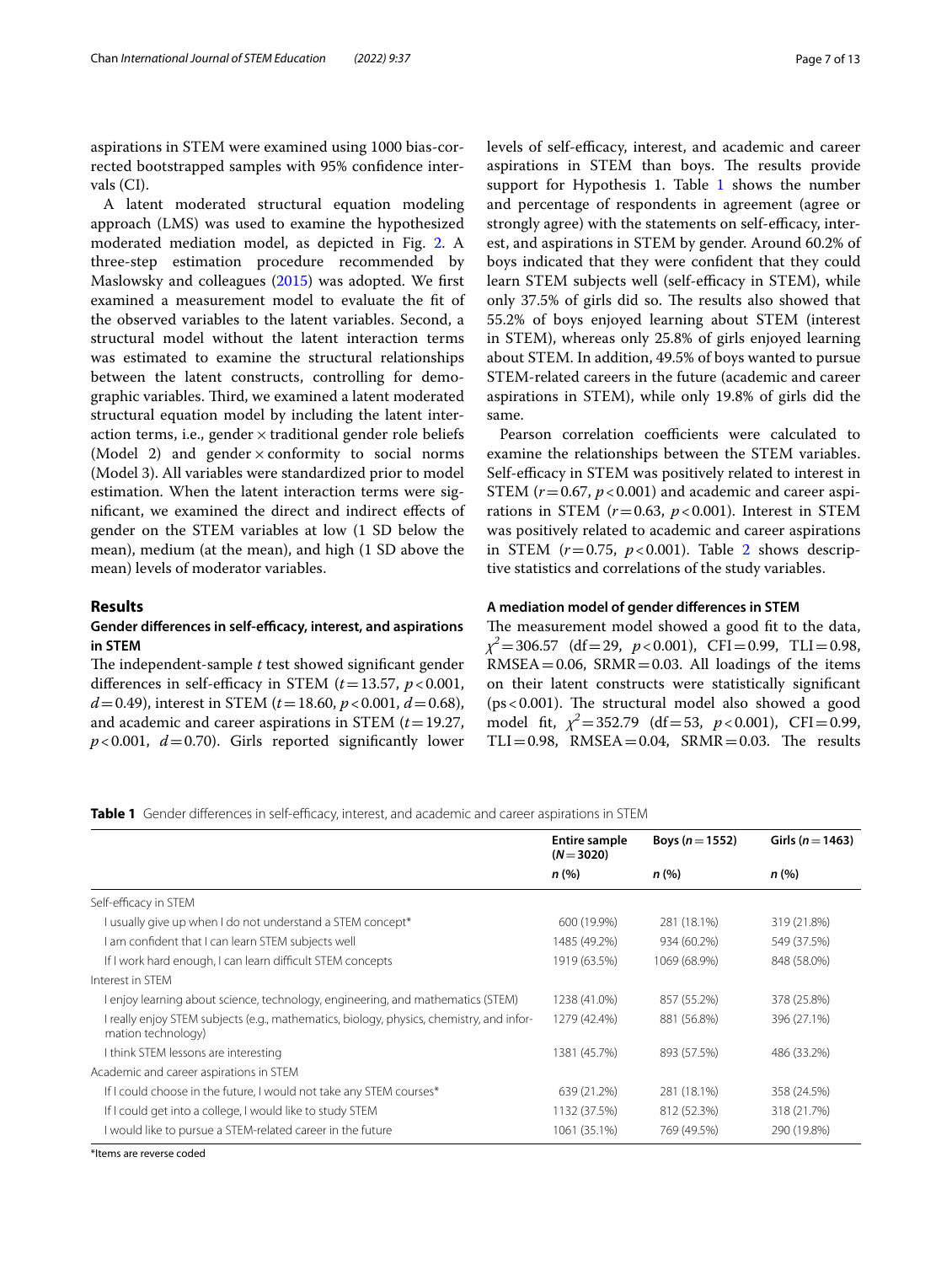aspirations in STEM were examined using 1000 bias-corrected bootstrapped samples with 95% confdence intervals (CI).

A latent moderated structural equation modeling approach (LMS) was used to examine the hypothesized moderated mediation model, as depicted in Fig. [2](#page-4-0). A three-step estimation procedure recommended by Maslowsky and colleagues [\(2015\)](#page-12-36) was adopted. We frst examined a measurement model to evaluate the ft of the observed variables to the latent variables. Second, a structural model without the latent interaction terms was estimated to examine the structural relationships between the latent constructs, controlling for demographic variables. Third, we examined a latent moderated structural equation model by including the latent interaction terms, i.e., gender  $\times$  traditional gender role beliefs (Model 2) and gender  $\times$  conformity to social norms (Model 3). All variables were standardized prior to model estimation. When the latent interaction terms were signifcant, we examined the direct and indirect efects of gender on the STEM variables at low (1 SD below the mean), medium (at the mean), and high (1 SD above the mean) levels of moderator variables.

### **Results**

## Gender differences in self-efficacy, interest, and aspirations **in STEM**

The independent-sample *t* test showed significant gender differences in self-efficacy in STEM  $(t=13.57, p<0.001,$  $d = 0.49$ ), interest in STEM ( $t = 18.60$ ,  $p < 0.001$ ,  $d = 0.68$ ), and academic and career aspirations in STEM (*t*=19.27,  $p$ <0.001,  $d$ =0.70). Girls reported significantly lower levels of self-efficacy, interest, and academic and career aspirations in STEM than boys. The results provide support for Hypothesis [1](#page-6-0). Table 1 shows the number and percentage of respondents in agreement (agree or strongly agree) with the statements on self-efficacy, interest, and aspirations in STEM by gender. Around 60.2% of boys indicated that they were confdent that they could learn STEM subjects well (self-efficacy in STEM), while only 37.5% of girls did so. The results also showed that 55.2% of boys enjoyed learning about STEM (interest in STEM), whereas only 25.8% of girls enjoyed learning about STEM. In addition, 49.5% of boys wanted to pursue STEM-related careers in the future (academic and career aspirations in STEM), while only 19.8% of girls did the same.

Pearson correlation coefficients were calculated to examine the relationships between the STEM variables. Self-efficacy in STEM was positively related to interest in STEM  $(r=0.67, p<0.001)$  and academic and career aspirations in STEM  $(r=0.63, p<0.001)$ . Interest in STEM was positively related to academic and career aspirations in STEM  $(r=0.75, p<0.001)$ . Table [2](#page-7-0) shows descriptive statistics and correlations of the study variables.

### **A mediation model of gender diferences in STEM**

The measurement model showed a good fit to the data, *χ2*=306.57 (df=29, *p*<0.001), CFI=0.99, TLI=0.98,  $RMSEA = 0.06$ ,  $SRMR = 0.03$ . All loadings of the items on their latent constructs were statistically signifcant ( $ps < 0.001$ ). The structural model also showed a good model fit,  $\chi^2 = 352.79$  (df = 53,  $p < 0.001$ ), CFI = 0.99,  $TLI=0.98$ , RMSEA=0.04, SRMR=0.03. The results

<span id="page-6-0"></span>**Table 1** Gender differences in self-efficacy, interest, and academic and career aspirations in STEM

|                                                                                                                | <b>Entire sample</b><br>$(N=3020)$ | Boys ( $n = 1552$ ) | Girls ( $n = 1463$ ) |
|----------------------------------------------------------------------------------------------------------------|------------------------------------|---------------------|----------------------|
|                                                                                                                | n (%)                              | $n$ (%)             | n(%)                 |
| Self-efficacy in STEM                                                                                          |                                    |                     |                      |
| I usually give up when I do not understand a STEM concept*                                                     | 600 (19.9%)                        | 281 (18.1%)         | 319 (21.8%)          |
| I am confident that I can learn STEM subjects well                                                             | 1485 (49.2%)                       | 934 (60.2%)         | 549 (37.5%)          |
| If I work hard enough, I can learn difficult STEM concepts                                                     | 1919 (63.5%)                       | 1069 (68.9%)        | 848 (58.0%)          |
| Interest in STEM                                                                                               |                                    |                     |                      |
| l enjoy learning about science, technology, engineering, and mathematics (STEM)                                | 1238 (41.0%)                       | 857 (55.2%)         | 378 (25.8%)          |
| I really enjoy STEM subjects (e.g., mathematics, biology, physics, chemistry, and infor-<br>mation technology) | 1279 (42.4%)                       | 881 (56.8%)         | 396 (27.1%)          |
| I think STEM lessons are interesting                                                                           | 1381 (45.7%)                       | 893 (57.5%)         | 486 (33.2%)          |
| Academic and career aspirations in STEM                                                                        |                                    |                     |                      |
| If I could choose in the future, I would not take any STEM courses*                                            | 639 (21.2%)                        | 281 (18.1%)         | 358 (24.5%)          |
| If I could get into a college, I would like to study STEM                                                      | 1132 (37.5%)                       | 812 (52.3%)         | 318 (21.7%)          |
| I would like to pursue a STEM-related career in the future                                                     | 1061 (35.1%)                       | 769 (49.5%)         | 290 (19.8%)          |

\*Items are reverse coded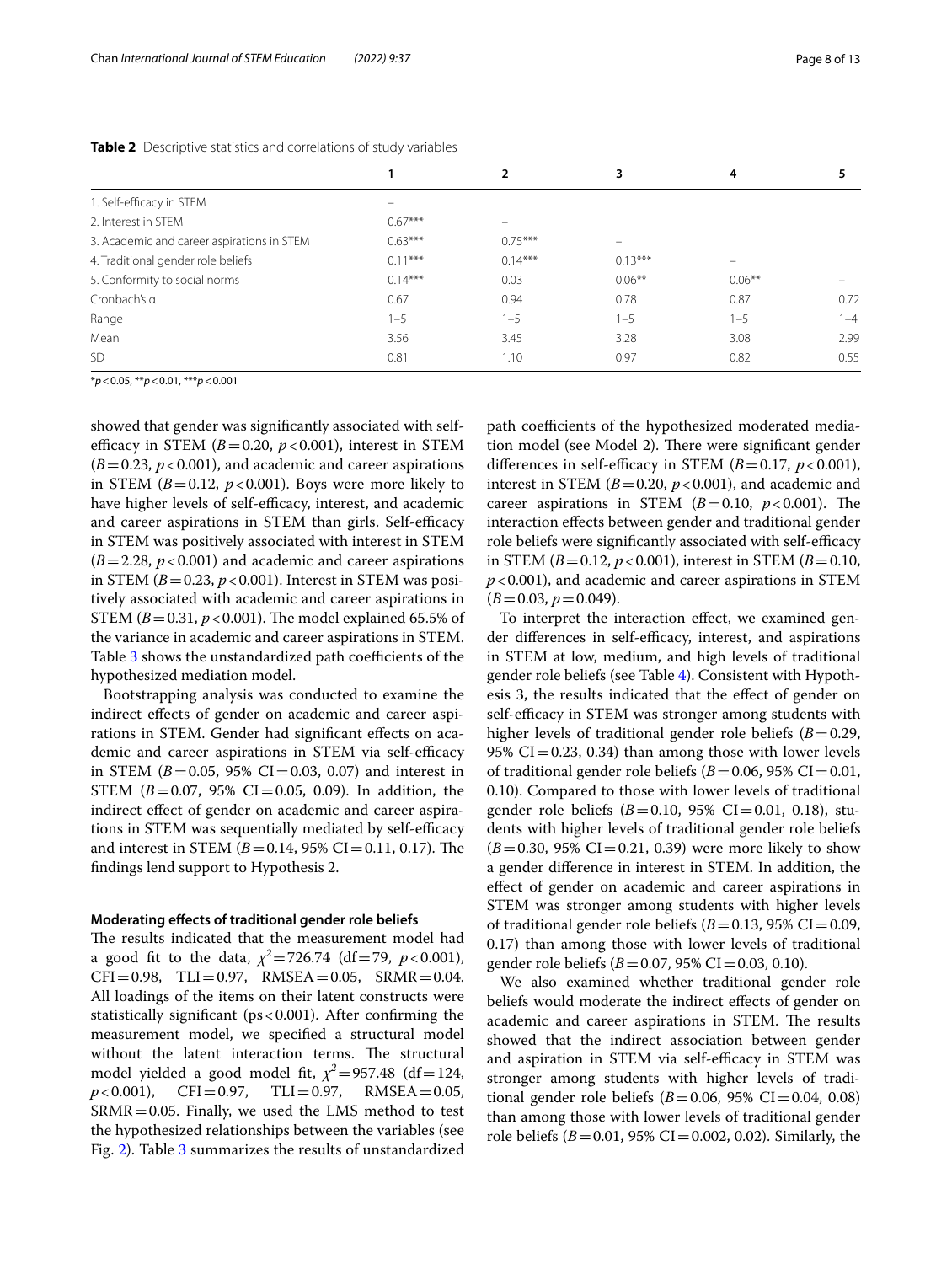|                                            |           | $\overline{2}$ | 3                        | 4                        |         |
|--------------------------------------------|-----------|----------------|--------------------------|--------------------------|---------|
| 1. Self-efficacy in STEM                   | -         |                |                          |                          |         |
| 2. Interest in STEM                        | $0.67***$ |                |                          |                          |         |
| 3. Academic and career aspirations in STEM | $0.63***$ | $0.75***$      | $\overline{\phantom{0}}$ |                          |         |
| 4. Traditional gender role beliefs         | $0.11***$ | $0.14***$      | $0.13***$                | $\overline{\phantom{0}}$ |         |
| 5. Conformity to social norms              | $0.14***$ | 0.03           | $0.06***$                | $0.06***$                |         |
| Cronbach's a                               | 0.67      | 0.94           | 0.78                     | 0.87                     | 0.72    |
| Range                                      | $1 - 5$   | $1 - 5$        | $1 - 5$                  | $1 - 5$                  | $1 - 4$ |
| Mean                                       | 3.56      | 3.45           | 3.28                     | 3.08                     | 2.99    |
| SD.                                        | 0.81      | 1.10           | 0.97                     | 0.82                     | 0.55    |
|                                            |           |                |                          |                          |         |

<span id="page-7-0"></span>**Table 2** Descriptive statistics and correlations of study variables

\**p*<0.05, \*\**p*<0.01, \*\*\**p*<0.001

showed that gender was signifcantly associated with selfefficacy in STEM  $(B=0.20, p<0.001)$ , interest in STEM  $(B=0.23, p<0.001)$ , and academic and career aspirations in STEM  $(B=0.12, p<0.001)$ . Boys were more likely to have higher levels of self-efficacy, interest, and academic and career aspirations in STEM than girls. Self-efficacy in STEM was positively associated with interest in STEM  $(B=2.28, p<0.001)$  and academic and career aspirations in STEM  $(B=0.23, p<0.001)$ . Interest in STEM was positively associated with academic and career aspirations in STEM ( $B = 0.31$ ,  $p < 0.001$ ). The model explained 65.5% of the variance in academic and career aspirations in STEM. Table [3](#page-8-0) shows the unstandardized path coefficients of the hypothesized mediation model.

Bootstrapping analysis was conducted to examine the indirect efects of gender on academic and career aspirations in STEM. Gender had signifcant efects on academic and career aspirations in STEM via self-efficacy in STEM ( $B = 0.05$ , 95% CI = 0.03, 0.07) and interest in STEM  $(B=0.07, 95\% \text{ CI} = 0.05, 0.09)$ . In addition, the indirect efect of gender on academic and career aspirations in STEM was sequentially mediated by self-efficacy and interest in STEM  $(B=0.14, 95\% \text{ CI} = 0.11, 0.17)$ . The fndings lend support to Hypothesis 2.

#### **Moderating efects of traditional gender role beliefs**

The results indicated that the measurement model had a good fit to the data,  $\chi^2 = 726.74$  (df = 79, *p* < 0.001),  $CFI = 0.98$ ,  $TLI = 0.97$ ,  $RMSEA = 0.05$ ,  $SRMR = 0.04$ . All loadings of the items on their latent constructs were statistically significant ( $ps < 0.001$ ). After confirming the measurement model, we specifed a structural model without the latent interaction terms. The structural model yielded a good model fit,  $\chi^2 = 957.48$  (df = 124,  $p < 0.001$ ), CFI = 0.97, TLI = 0.97, RMSEA = 0.05,  $p < 0.001$ ), CFI=0.97, TLI=0.97, RMSEA=0.05,  $SRMR = 0.05$ . Finally, we used the LMS method to test the hypothesized relationships between the variables (see Fig. [2\)](#page-4-0). Table [3](#page-8-0) summarizes the results of unstandardized path coefficients of the hypothesized moderated mediation model (see Model 2). There were significant gender differences in self-efficacy in STEM  $(B=0.17, p<0.001)$ , interest in STEM  $(B=0.20, p<0.001)$ , and academic and career aspirations in STEM  $(B=0.10, p<0.001)$ . The interaction efects between gender and traditional gender role beliefs were significantly associated with self-efficacy in STEM ( $B = 0.12$ ,  $p < 0.001$ ), interest in STEM ( $B = 0.10$ , *p*<0.001), and academic and career aspirations in STEM  $(B=0.03, p=0.049).$ 

To interpret the interaction effect, we examined gender differences in self-efficacy, interest, and aspirations in STEM at low, medium, and high levels of traditional gender role beliefs (see Table [4](#page-9-0)). Consistent with Hypothesis 3, the results indicated that the efect of gender on self-efficacy in STEM was stronger among students with higher levels of traditional gender role beliefs  $(B=0.29)$ , 95%  $CI = 0.23$ , 0.34) than among those with lower levels of traditional gender role beliefs  $(B=0.06, 95\% \text{ CI} = 0.01,$ 0.10). Compared to those with lower levels of traditional gender role beliefs ( $B=0.10$ , 95% CI=0.01, 0.18), students with higher levels of traditional gender role beliefs  $(B=0.30, 95\% \text{ CI} = 0.21, 0.39)$  were more likely to show a gender diference in interest in STEM. In addition, the efect of gender on academic and career aspirations in STEM was stronger among students with higher levels of traditional gender role beliefs  $(B=0.13, 95\% \text{ CI} = 0.09,$ 0.17) than among those with lower levels of traditional gender role beliefs ( $B = 0.07$ , 95% CI = 0.03, 0.10).

We also examined whether traditional gender role beliefs would moderate the indirect efects of gender on academic and career aspirations in STEM. The results showed that the indirect association between gender and aspiration in STEM via self-efficacy in STEM was stronger among students with higher levels of traditional gender role beliefs ( $B = 0.06$ , 95% CI = 0.04, 0.08) than among those with lower levels of traditional gender role beliefs  $(B=0.01, 95\% \text{ CI} = 0.002, 0.02)$ . Similarly, the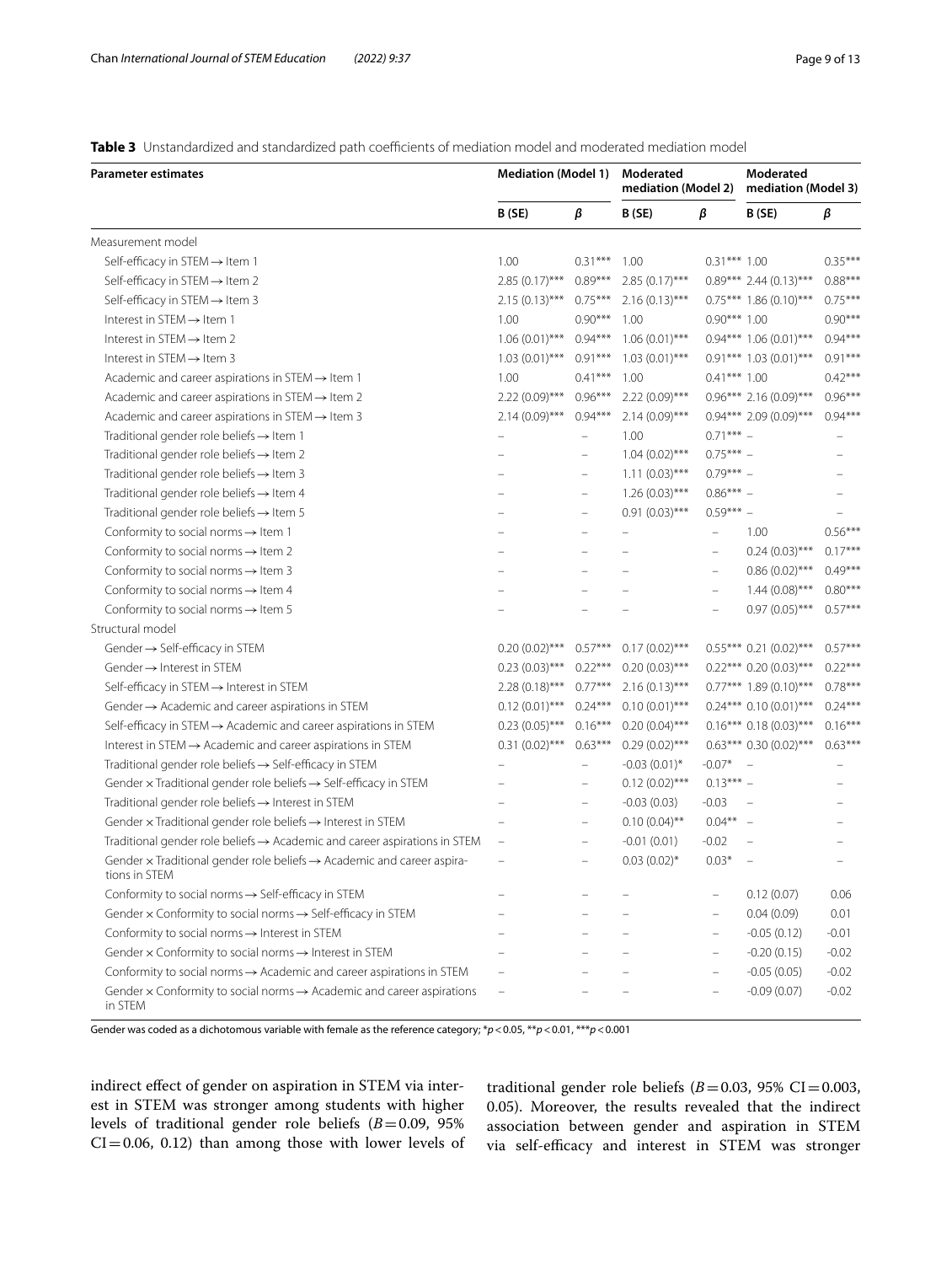<span id="page-8-0"></span>Table 3 Unstandardized and standardized path coefficients of mediation model and moderated mediation model

| <b>Parameter estimates</b>                                                                                 | <b>Mediation (Model 1)</b> |                   | Moderated<br>mediation (Model 2) |                          | Moderated<br>mediation (Model 3) |           |
|------------------------------------------------------------------------------------------------------------|----------------------------|-------------------|----------------------------------|--------------------------|----------------------------------|-----------|
|                                                                                                            | B (SE)                     | β                 | B (SE)                           | β                        | B (SE)                           | β         |
| Measurement model                                                                                          |                            |                   |                                  |                          |                                  |           |
| Self-efficacy in STEM $\rightarrow$ Item 1                                                                 | 1.00                       | $0.31***$         | 1.00                             | $0.31***1.00$            |                                  | $0.35***$ |
| Self-efficacy in STEM → Item 2                                                                             | $2.85(0.17)$ ***           | $0.89***$         | $2.85(0.17)$ ***                 |                          | $0.89***$ 2.44 (0.13)***         | $0.88***$ |
| Self-efficacy in STEM → Item 3                                                                             | $2.15(0.13)$ ***           | $0.75***$         | $2.16(0.13)$ ***                 |                          | $0.75***$ 1.86 (0.10)***         | $0.75***$ |
| Interest in STEM → Item 1                                                                                  | 1.00                       | $0.90***$         | 1.00                             | $0.90***1.00$            |                                  | $0.90***$ |
| Interest in STEM $\rightarrow$ Item 2                                                                      | $1.06(0.01)$ ***           | $0.94***$         | $1.06(0.01)$ ***                 |                          | $0.94***$ 1.06 (0.01)***         | $0.94***$ |
| Interest in STEM $\rightarrow$ Item 3                                                                      | $1.03(0.01)$ ***           | $0.91***$         | $1.03(0.01)$ ***                 |                          | $0.91***$ 1.03 (0.01)***         | $0.91***$ |
| Academic and career aspirations in STEM $\rightarrow$ Item 1                                               | 1.00                       | $0.41***$         | 1.00                             | $0.41***1.00$            |                                  | $0.42***$ |
| Academic and career aspirations in STEM $\rightarrow$ Item 2                                               | $2.22(0.09)$ ***           | $0.96***$         | $2.22(0.09)$ ***                 |                          | $0.96***$ 2.16 $(0.09)***$       | $0.96***$ |
| Academic and career aspirations in STEM $\rightarrow$ Item 3                                               | $2.14(0.09)$ ***           | $0.94***$         | $2.14(0.09)$ ***                 |                          | $0.94***$ 2.09 $(0.09)***$       | $0.94***$ |
| Traditional gender role beliefs $\rightarrow$ Item 1                                                       | $\overline{\phantom{0}}$   | ÷                 | 1.00                             | $0.71***$ -              |                                  |           |
| Traditional gender role beliefs $\rightarrow$ Item 2                                                       |                            |                   | $1.04(0.02)$ ***                 | $0.75***$ -              |                                  |           |
| Traditional gender role beliefs $\rightarrow$ Item 3                                                       |                            | $\qquad \qquad -$ | $1.11(0.03)$ ***                 | $0.79***$                |                                  |           |
| Traditional gender role beliefs $\rightarrow$ Item 4                                                       |                            | $\qquad \qquad -$ | $1.26(0.03)$ ***                 | $0.86***$                |                                  |           |
| Traditional gender role beliefs $\rightarrow$ Item 5                                                       |                            | $\qquad \qquad -$ | $0.91(0.03)$ ***                 | $0.59***$ -              |                                  |           |
| Conformity to social norms $\rightarrow$ Item 1                                                            | -                          | $\qquad \qquad -$ | $\overline{\phantom{0}}$         | $\equiv$                 | 1.00                             | $0.56***$ |
| Conformity to social norms $\rightarrow$ Item 2                                                            |                            | $\overline{a}$    |                                  | $\overline{\phantom{0}}$ | $0.24(0.03)$ ***                 | $0.17***$ |
| Conformity to social norms $\rightarrow$ Item 3                                                            |                            |                   |                                  | $\overline{a}$           | $0.86(0.02)$ ***                 | $0.49***$ |
| Conformity to social norms $\rightarrow$ Item 4                                                            |                            |                   |                                  | $\qquad \qquad -$        | $1.44(0.08)$ ***                 | $0.80***$ |
| Conformity to social norms $\rightarrow$ Item 5                                                            |                            |                   |                                  | $\qquad \qquad -$        | $0.97(0.05)$ ***                 | $0.57***$ |
| Structural model                                                                                           |                            |                   |                                  |                          |                                  |           |
| Gender → Self-efficacy in STEM                                                                             | $0.20(0.02)$ ***           | $0.57***$         | $0.17(0.02)$ ***                 |                          | $0.55***$ 0.21 (0.02)***         | $0.57***$ |
| Gender $\rightarrow$ Interest in STEM                                                                      | $0.23(0.03)$ ***           | $0.22***$         | $0.20(0.03)$ ***                 |                          | $0.22***0.20(0.03***)$           | $0.22***$ |
| Self-efficacy in STEM → Interest in STEM                                                                   | $2.28(0.18)$ ***           | $0.77***$         | $2.16(0.13)$ ***                 |                          | $0.77***$ 1.89 (0.10)***         | $0.78***$ |
| Gender $\rightarrow$ Academic and career aspirations in STEM                                               | $0.12(0.01)$ ***           | $0.24***$         | $0.10(0.01)$ ***                 |                          | $0.24***0.10(0.01***$            | $0.24***$ |
| Self-efficacy in STEM $\rightarrow$ Academic and career aspirations in STEM                                | $0.23(0.05)$ ***           | $0.16***$         | $0.20(0.04)$ ***                 |                          | $0.16***0.18(0.03***$            | $0.16***$ |
| Interest in $STEM \rightarrow Academic$ and career aspirations in $STEM$                                   | $0.31(0.02)$ ***           | $0.63***$         | $0.29(0.02)$ ***                 |                          | $0.63***$ 0.30 $(0.02)***$       | $0.63***$ |
| Traditional gender role beliefs $\rightarrow$ Self-efficacy in STEM                                        |                            |                   | $-0.03(0.01)$ *                  | $-0.07*$                 | $\overline{\phantom{a}}$         |           |
| Gender $\times$ Traditional gender role beliefs $\rightarrow$ Self-efficacy in STEM                        |                            | $\qquad \qquad -$ | $0.12(0.02)$ ***                 | $0.13***$ -              |                                  |           |
| Traditional gender role beliefs $\rightarrow$ Interest in STEM                                             |                            | $\qquad \qquad -$ | $-0.03(0.03)$                    | $-0.03$                  |                                  |           |
| Gender $\times$ Traditional gender role beliefs $\rightarrow$ Interest in STEM                             |                            | $\qquad \qquad -$ | $0.10(0.04)$ **                  | $0.04***$ -              |                                  |           |
| Traditional gender role beliefs $\rightarrow$ Academic and career aspirations in STEM                      | $\qquad \qquad -$          | $\qquad \qquad -$ | $-0.01(0.01)$                    | $-0.02$                  |                                  |           |
| Gender $\times$ Traditional gender role beliefs $\rightarrow$ Academic and career aspira-<br>tions in STEM |                            | $\qquad \qquad -$ | $0.03(0.02)$ *                   | $0.03*$                  |                                  |           |
| Conformity to social norms $\rightarrow$ Self-efficacy in STEM                                             |                            |                   |                                  |                          | 0.12(0.07)                       | 0.06      |
| Gender $\times$ Conformity to social norms $\rightarrow$ Self-efficacy in STEM                             |                            |                   |                                  | $\overline{\phantom{0}}$ | 0.04(0.09)                       | 0.01      |
| Conformity to social norms -> Interest in STEM                                                             |                            |                   |                                  |                          | $-0.05(0.12)$                    | $-0.01$   |
| Gender $\times$ Conformity to social norms $\rightarrow$ Interest in STEM                                  |                            |                   |                                  | $\overline{\phantom{0}}$ | $-0.20(0.15)$                    | $-0.02$   |
| Conformity to social norms -> Academic and career aspirations in STEM                                      | $\overline{ }$             |                   |                                  | $\qquad \qquad -$        | $-0.05(0.05)$                    | $-0.02$   |
| Gender $\times$ Conformity to social norms $\rightarrow$ Academic and career aspirations<br>in STEM        | $\equiv$                   |                   |                                  |                          | $-0.09(0.07)$                    | $-0.02$   |

Gender was coded as a dichotomous variable with female as the reference category; \**p*<0.05, \*\**p*<0.01, \*\*\**p*<0.001

indirect efect of gender on aspiration in STEM via interest in STEM was stronger among students with higher levels of traditional gender role beliefs (*B*=0.09, 95%  $CI = 0.06$ , 0.12) than among those with lower levels of traditional gender role beliefs ( $B=0.03$ , 95% CI=0.003, 0.05). Moreover, the results revealed that the indirect association between gender and aspiration in STEM via self-efficacy and interest in STEM was stronger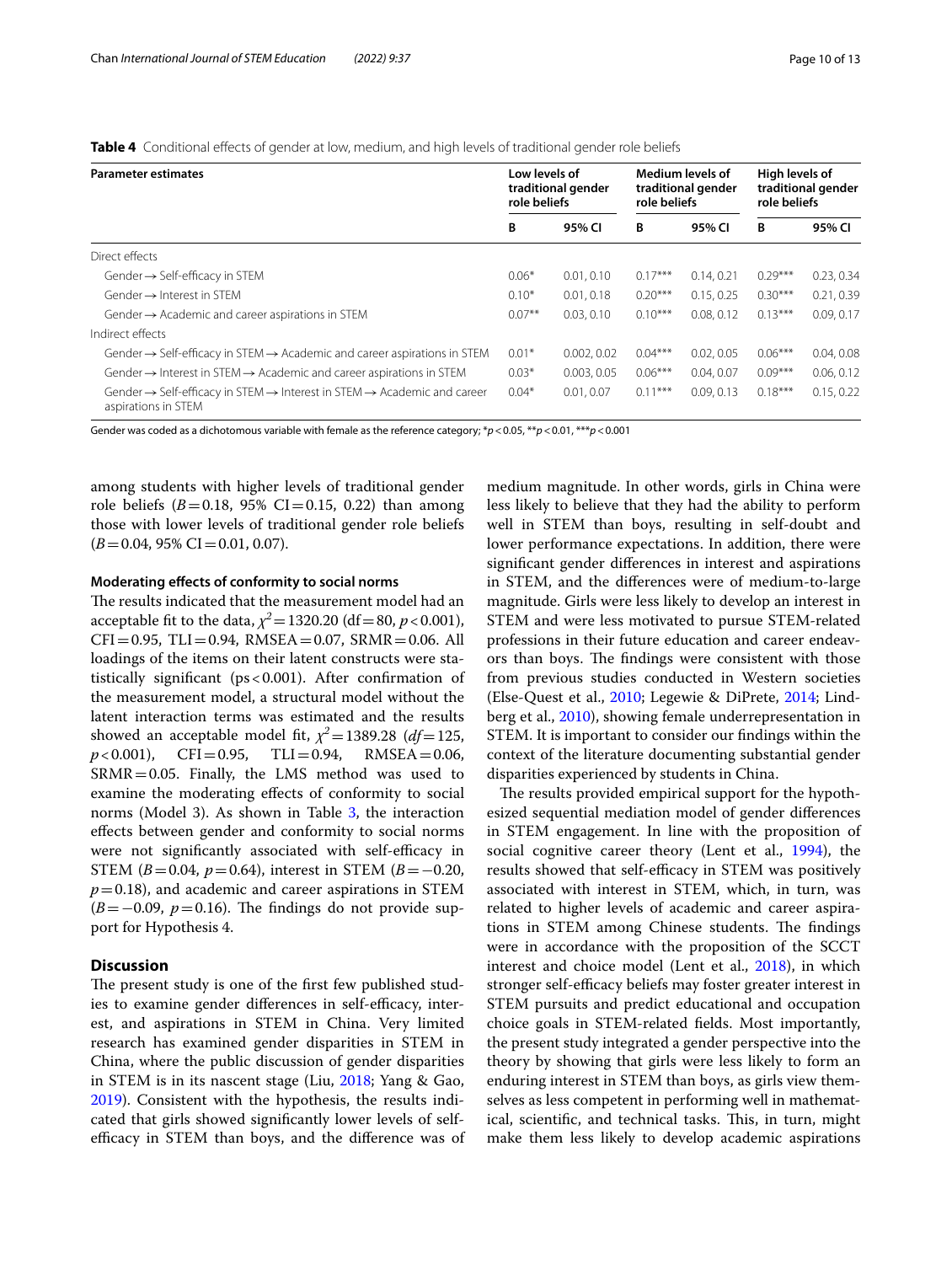<span id="page-9-0"></span>**Table 4** Conditional efects of gender at low, medium, and high levels of traditional gender role beliefs

| <b>Parameter estimates</b>                                                                                                         | Low levels of<br>traditional gender<br>role beliefs |             | Medium levels of<br>traditional gender<br>role beliefs |            | High levels of<br>traditional gender<br>role beliefs |            |
|------------------------------------------------------------------------------------------------------------------------------------|-----------------------------------------------------|-------------|--------------------------------------------------------|------------|------------------------------------------------------|------------|
|                                                                                                                                    | в                                                   | 95% CI      | В                                                      | 95% CI     | В                                                    | 95% CI     |
| Direct effects                                                                                                                     |                                                     |             |                                                        |            |                                                      |            |
| Gender $\rightarrow$ Self-efficacy in STEM                                                                                         | $0.06*$                                             | 0.01, 0.10  | $0.17***$                                              | 0.14, 0.21 | $0.29***$                                            | 0.23, 0.34 |
| Gender $\rightarrow$ Interest in STFM                                                                                              | $0.10*$                                             | 0.01.0.18   | $0.20***$                                              | 0.15.0.25  | $0.30***$                                            | 0.21, 0.39 |
| Gender $\rightarrow$ Academic and career aspirations in STEM                                                                       | $0.07***$                                           | 0.03, 0.10  | $0.10***$                                              | 0.08.0.12  | $0.13***$                                            | 0.09.0.17  |
| Indirect effects                                                                                                                   |                                                     |             |                                                        |            |                                                      |            |
| Gender $\rightarrow$ Self-efficacy in STEM $\rightarrow$ Academic and career aspirations in STEM                                   | $0.01*$                                             | 0.002, 0.02 | $0.04***$                                              | 0.02.0.05  | $0.06***$                                            | 0.04, 0.08 |
| Gender $\rightarrow$ Interest in STEM $\rightarrow$ Academic and career aspirations in STEM                                        | $0.03*$                                             | 0.003.0.05  | $0.06***$                                              | 0.04.0.07  | $0.09***$                                            | 0.06, 0.12 |
| Gender $\rightarrow$ Self-efficacy in STEM $\rightarrow$ Interest in STEM $\rightarrow$ Academic and career<br>aspirations in STEM | $0.04*$                                             | 0.01.0.07   | $0.11***$                                              | 0.09.0.13  | $0.18***$                                            | 0.15, 0.22 |

Gender was coded as a dichotomous variable with female as the reference category; \**p*<0.05, \*\**p*<0.01, \*\*\**p*<0.001

among students with higher levels of traditional gender role beliefs ( $B = 0.18$ , 95% CI = 0.15, 0.22) than among those with lower levels of traditional gender role beliefs  $(B=0.04, 95\% \text{ CI} = 0.01, 0.07).$ 

## **Moderating efects of conformity to social norms**

The results indicated that the measurement model had an acceptable fit to the data,  $\chi^2$  = 1320.20 (df = 80, *p* < 0.001),  $CFI = 0.95$ ,  $TLI = 0.94$ ,  $RMSEA = 0.07$ ,  $SRMR = 0.06$ . All loadings of the items on their latent constructs were statistically signifcant (ps<0.001). After confrmation of the measurement model, a structural model without the latent interaction terms was estimated and the results showed an acceptable model fit,  $\chi^2$  = 1389.28 (*df* = 125,  $p$  < 0.001), CFI = 0.95, TLI = 0.94, RMSEA = 0.06,  $TLI = 0.94$ , RMSEA = 0.06,  $SRMR = 0.05$ . Finally, the LMS method was used to examine the moderating efects of conformity to social norms (Model 3). As shown in Table [3,](#page-8-0) the interaction efects between gender and conformity to social norms were not significantly associated with self-efficacy in STEM ( $B=0.04$ ,  $p=0.64$ ), interest in STEM ( $B=-0.20$ ,  $p=0.18$ ), and academic and career aspirations in STEM  $(B=-0.09, p=0.16)$ . The findings do not provide support for Hypothesis 4.

## **Discussion**

The present study is one of the first few published studies to examine gender differences in self-efficacy, interest, and aspirations in STEM in China. Very limited research has examined gender disparities in STEM in China, where the public discussion of gender disparities in STEM is in its nascent stage (Liu, [2018](#page-12-10); Yang & Gao, [2019](#page-12-20)). Consistent with the hypothesis, the results indicated that girls showed signifcantly lower levels of selfefficacy in STEM than boys, and the difference was of

medium magnitude. In other words, girls in China were less likely to believe that they had the ability to perform well in STEM than boys, resulting in self-doubt and lower performance expectations. In addition, there were signifcant gender diferences in interest and aspirations in STEM, and the diferences were of medium-to-large magnitude. Girls were less likely to develop an interest in STEM and were less motivated to pursue STEM-related professions in their future education and career endeavors than boys. The findings were consistent with those from previous studies conducted in Western societies (Else-Quest et al., [2010](#page-11-2); Legewie & DiPrete, [2014;](#page-12-2) Lindberg et al., [2010\)](#page-12-5), showing female underrepresentation in STEM. It is important to consider our fndings within the context of the literature documenting substantial gender disparities experienced by students in China.

The results provided empirical support for the hypothesized sequential mediation model of gender diferences in STEM engagement. In line with the proposition of social cognitive career theory (Lent et al., [1994\)](#page-12-12), the results showed that self-efficacy in STEM was positively associated with interest in STEM, which, in turn, was related to higher levels of academic and career aspirations in STEM among Chinese students. The findings were in accordance with the proposition of the SCCT interest and choice model (Lent et al., [2018](#page-12-13)), in which stronger self-efficacy beliefs may foster greater interest in STEM pursuits and predict educational and occupation choice goals in STEM-related felds. Most importantly, the present study integrated a gender perspective into the theory by showing that girls were less likely to form an enduring interest in STEM than boys, as girls view themselves as less competent in performing well in mathematical, scientific, and technical tasks. This, in turn, might make them less likely to develop academic aspirations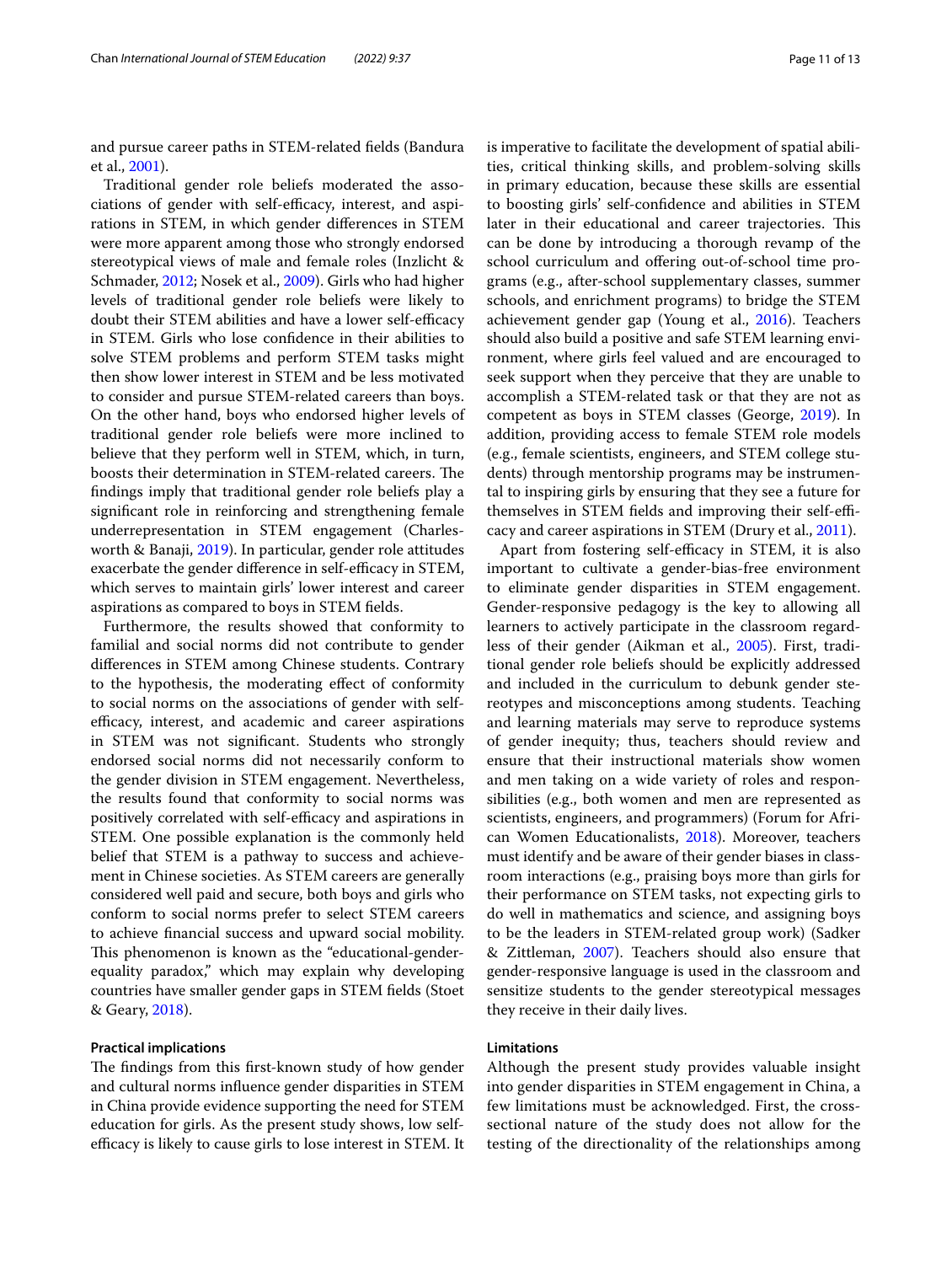and pursue career paths in STEM-related felds (Bandura et al., [2001](#page-11-6)).

Traditional gender role beliefs moderated the associations of gender with self-efficacy, interest, and aspirations in STEM, in which gender diferences in STEM were more apparent among those who strongly endorsed stereotypical views of male and female roles (Inzlicht & Schmader, [2012](#page-12-19); Nosek et al., [2009](#page-12-21)). Girls who had higher levels of traditional gender role beliefs were likely to doubt their STEM abilities and have a lower self-efficacy in STEM. Girls who lose confdence in their abilities to solve STEM problems and perform STEM tasks might then show lower interest in STEM and be less motivated to consider and pursue STEM-related careers than boys. On the other hand, boys who endorsed higher levels of traditional gender role beliefs were more inclined to believe that they perform well in STEM, which, in turn, boosts their determination in STEM-related careers. The fndings imply that traditional gender role beliefs play a signifcant role in reinforcing and strengthening female underrepresentation in STEM engagement (Charlesworth & Banaji, [2019](#page-11-1)). In particular, gender role attitudes exacerbate the gender difference in self-efficacy in STEM, which serves to maintain girls' lower interest and career aspirations as compared to boys in STEM felds.

Furthermore, the results showed that conformity to familial and social norms did not contribute to gender diferences in STEM among Chinese students. Contrary to the hypothesis, the moderating efect of conformity to social norms on the associations of gender with selfefficacy, interest, and academic and career aspirations in STEM was not signifcant. Students who strongly endorsed social norms did not necessarily conform to the gender division in STEM engagement. Nevertheless, the results found that conformity to social norms was positively correlated with self-efficacy and aspirations in STEM. One possible explanation is the commonly held belief that STEM is a pathway to success and achievement in Chinese societies. As STEM careers are generally considered well paid and secure, both boys and girls who conform to social norms prefer to select STEM careers to achieve fnancial success and upward social mobility. This phenomenon is known as the "educational-genderequality paradox," which may explain why developing countries have smaller gender gaps in STEM felds (Stoet & Geary, [2018\)](#page-12-1).

## **Practical implications**

The findings from this first-known study of how gender and cultural norms infuence gender disparities in STEM in China provide evidence supporting the need for STEM education for girls. As the present study shows, low selfefficacy is likely to cause girls to lose interest in STEM. It is imperative to facilitate the development of spatial abilities, critical thinking skills, and problem-solving skills in primary education, because these skills are essential to boosting girls' self-confdence and abilities in STEM later in their educational and career trajectories. This can be done by introducing a thorough revamp of the school curriculum and ofering out-of-school time programs (e.g., after-school supplementary classes, summer schools, and enrichment programs) to bridge the STEM achievement gender gap (Young et al., [2016\)](#page-12-37). Teachers should also build a positive and safe STEM learning environment, where girls feel valued and are encouraged to seek support when they perceive that they are unable to accomplish a STEM-related task or that they are not as competent as boys in STEM classes (George, [2019](#page-11-16)). In addition, providing access to female STEM role models (e.g., female scientists, engineers, and STEM college students) through mentorship programs may be instrumental to inspiring girls by ensuring that they see a future for themselves in STEM fields and improving their self-efficacy and career aspirations in STEM (Drury et al., [2011\)](#page-11-17).

Apart from fostering self-efficacy in STEM, it is also important to cultivate a gender-bias-free environment to eliminate gender disparities in STEM engagement. Gender-responsive pedagogy is the key to allowing all learners to actively participate in the classroom regardless of their gender (Aikman et al., [2005\)](#page-11-18). First, traditional gender role beliefs should be explicitly addressed and included in the curriculum to debunk gender stereotypes and misconceptions among students. Teaching and learning materials may serve to reproduce systems of gender inequity; thus, teachers should review and ensure that their instructional materials show women and men taking on a wide variety of roles and responsibilities (e.g., both women and men are represented as scientists, engineers, and programmers) (Forum for African Women Educationalists, [2018\)](#page-11-19). Moreover, teachers must identify and be aware of their gender biases in classroom interactions (e.g., praising boys more than girls for their performance on STEM tasks, not expecting girls to do well in mathematics and science, and assigning boys to be the leaders in STEM-related group work) (Sadker & Zittleman, [2007\)](#page-12-38). Teachers should also ensure that gender-responsive language is used in the classroom and sensitize students to the gender stereotypical messages they receive in their daily lives.

## **Limitations**

Although the present study provides valuable insight into gender disparities in STEM engagement in China, a few limitations must be acknowledged. First, the crosssectional nature of the study does not allow for the testing of the directionality of the relationships among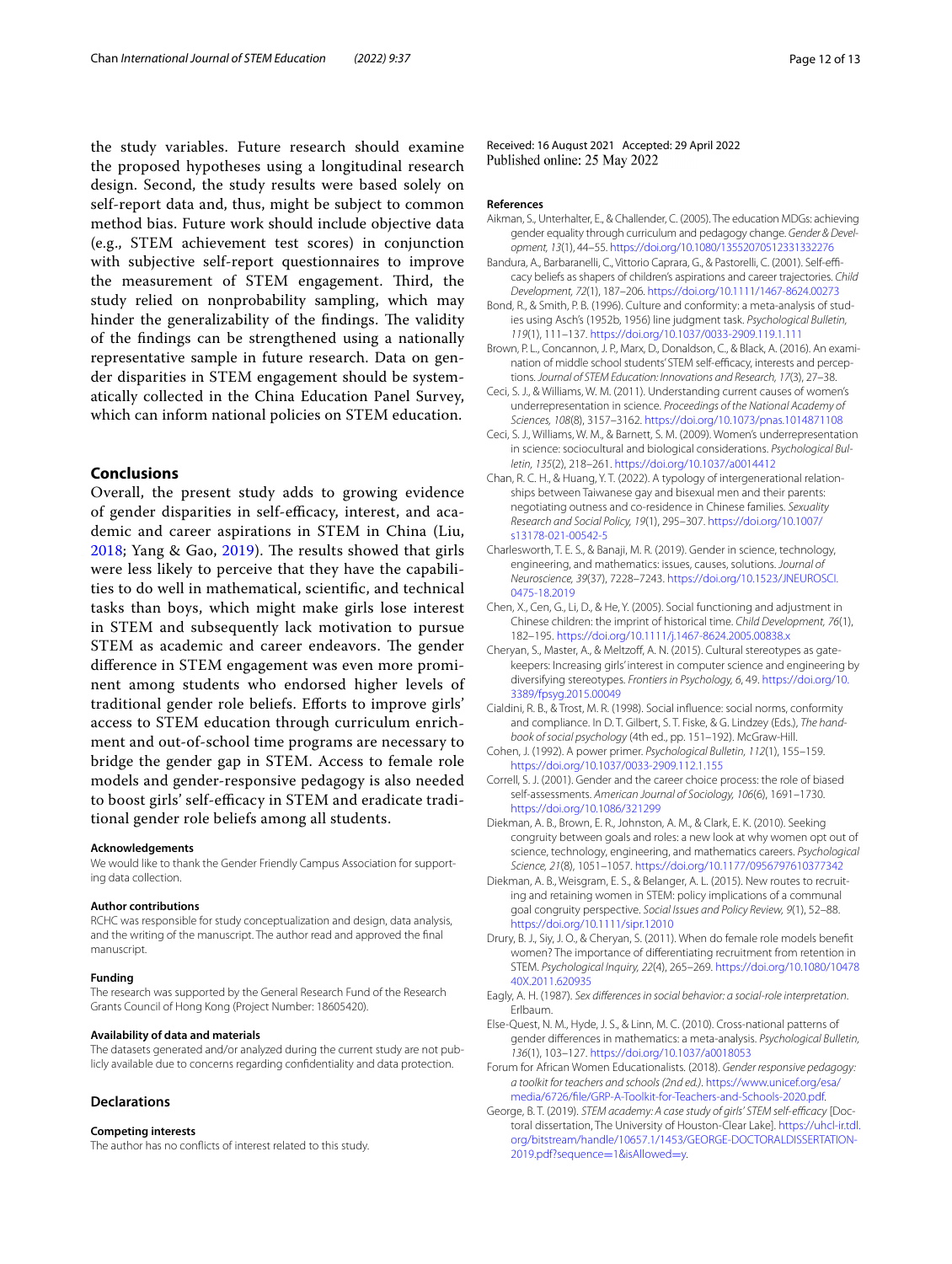the study variables. Future research should examine the proposed hypotheses using a longitudinal research design. Second, the study results were based solely on self-report data and, thus, might be subject to common method bias. Future work should include objective data (e.g., STEM achievement test scores) in conjunction with subjective self-report questionnaires to improve the measurement of STEM engagement. Third, the study relied on nonprobability sampling, which may hinder the generalizability of the findings. The validity of the fndings can be strengthened using a nationally representative sample in future research. Data on gender disparities in STEM engagement should be systematically collected in the China Education Panel Survey, which can inform national policies on STEM education.

## **Conclusions**

Overall, the present study adds to growing evidence of gender disparities in self-efficacy, interest, and academic and career aspirations in STEM in China (Liu,  $2018$ ; Yang & Gao,  $2019$ ). The results showed that girls were less likely to perceive that they have the capabilities to do well in mathematical, scientifc, and technical tasks than boys, which might make girls lose interest in STEM and subsequently lack motivation to pursue STEM as academic and career endeavors. The gender diference in STEM engagement was even more prominent among students who endorsed higher levels of traditional gender role beliefs. Eforts to improve girls' access to STEM education through curriculum enrichment and out-of-school time programs are necessary to bridge the gender gap in STEM. Access to female role models and gender-responsive pedagogy is also needed to boost girls' self-efficacy in STEM and eradicate traditional gender role beliefs among all students.

#### **Acknowledgements**

We would like to thank the Gender Friendly Campus Association for supporting data collection.

#### **Author contributions**

RCHC was responsible for study conceptualization and design, data analysis, and the writing of the manuscript. The author read and approved the fnal manuscript.

#### **Funding**

The research was supported by the General Research Fund of the Research Grants Council of Hong Kong (Project Number: 18605420).

#### **Availability of data and materials**

The datasets generated and/or analyzed during the current study are not publicly available due to concerns regarding confdentiality and data protection.

#### **Declarations**

#### **Competing interests**

The author has no conficts of interest related to this study.

Received: 16 August 2021 Accepted: 29 April 2022 Published online: 25 May 2022

#### **References**

- <span id="page-11-18"></span>Aikman, S., Unterhalter, E., & Challender, C. (2005). The education MDGs: achieving gender equality through curriculum and pedagogy change. *Gender & Development, 13*(1), 44–55. <https://doi.org/10.1080/13552070512331332276>
- <span id="page-11-6"></span>Bandura, A., Barbaranelli, C., Vittorio Caprara, G., & Pastorelli, C. (2001). Self-efficacy beliefs as shapers of children's aspirations and career trajectories. *Child Development, 72*(1), 187–206.<https://doi.org/10.1111/1467-8624.00273>
- <span id="page-11-10"></span>Bond, R., & Smith, P. B. (1996). Culture and conformity: a meta-analysis of studies using Asch's (1952b, 1956) line judgment task. *Psychological Bulletin, 119*(1), 111–137.<https://doi.org/10.1037/0033-2909.119.1.111>
- <span id="page-11-14"></span>Brown, P. L., Concannon, J. P., Marx, D., Donaldson, C., & Black, A. (2016). An examination of middle school students' STEM self-efficacy, interests and perceptions. *Journal of STEM Education: Innovations and Research, 17*(3), 27–38.
- <span id="page-11-0"></span>Ceci, S. J., & Williams, W. M. (2011). Understanding current causes of women's underrepresentation in science. *Proceedings of the National Academy of Sciences, 108*(8), 3157–3162. <https://doi.org/10.1073/pnas.1014871108>
- <span id="page-11-8"></span>Ceci, S. J., Williams, W. M., & Barnett, S. M. (2009). Women's underrepresentation in science: sociocultural and biological considerations. *Psychological Bulletin, 135*(2), 218–261. <https://doi.org/10.1037/a0014412>
- <span id="page-11-12"></span>Chan, R. C. H., & Huang, Y. T. (2022). A typology of intergenerational relationships between Taiwanese gay and bisexual men and their parents: negotiating outness and co-residence in Chinese families. *Sexuality Research and Social Policy, 19*(1), 295–307. [https://doi.org/10.1007/](https://doi.org/10.1007/s13178-021-00542-5) [s13178-021-00542-5](https://doi.org/10.1007/s13178-021-00542-5)
- <span id="page-11-1"></span>Charlesworth, T. E. S., & Banaji, M. R. (2019). Gender in science, technology, engineering, and mathematics: issues, causes, solutions. *Journal of Neuroscience, 39*(37), 7228–7243. [https://doi.org/10.1523/JNEUROSCI.](https://doi.org/10.1523/JNEUROSCI.0475-18.2019) [0475-18.2019](https://doi.org/10.1523/JNEUROSCI.0475-18.2019)
- <span id="page-11-11"></span>Chen, X., Cen, G., Li, D., & He, Y. (2005). Social functioning and adjustment in Chinese children: the imprint of historical time. *Child Development, 76*(1), 182–195.<https://doi.org/10.1111/j.1467-8624.2005.00838.x>
- <span id="page-11-3"></span>Cheryan, S., Master, A., & Meltzoff, A. N. (2015). Cultural stereotypes as gatekeepers: Increasing girls' interest in computer science and engineering by diversifying stereotypes. *Frontiers in Psychology, 6*, 49. [https://doi.org/10.](https://doi.org/10.3389/fpsyg.2015.00049) [3389/fpsyg.2015.00049](https://doi.org/10.3389/fpsyg.2015.00049)
- <span id="page-11-13"></span>Cialdini, R. B., & Trost, M. R. (1998). Social infuence: social norms, conformity and compliance. In D. T. Gilbert, S. T. Fiske, & G. Lindzey (Eds.), *The handbook of social psychology* (4th ed., pp. 151–192). McGraw-Hill.
- <span id="page-11-15"></span>Cohen, J. (1992). A power primer. *Psychological Bulletin, 112*(1), 155–159. <https://doi.org/10.1037/0033-2909.112.1.155>
- <span id="page-11-9"></span>Correll, S. J. (2001). Gender and the career choice process: the role of biased self-assessments. *American Journal of Sociology, 106*(6), 1691–1730. <https://doi.org/10.1086/321299>
- <span id="page-11-4"></span>Diekman, A. B., Brown, E. R., Johnston, A. M., & Clark, E. K. (2010). Seeking congruity between goals and roles: a new look at why women opt out of science, technology, engineering, and mathematics careers. *Psychological Science, 21*(8), 1051–1057.<https://doi.org/10.1177/0956797610377342>
- <span id="page-11-5"></span>Diekman, A. B., Weisgram, E. S., & Belanger, A. L. (2015). New routes to recruiting and retaining women in STEM: policy implications of a communal goal congruity perspective. *Social Issues and Policy Review, 9*(1), 52–88. <https://doi.org/10.1111/sipr.12010>
- <span id="page-11-17"></span>Drury, B. J., Siy, J. O., & Cheryan, S. (2011). When do female role models beneft women? The importance of diferentiating recruitment from retention in STEM. *Psychological Inquiry, 22*(4), 265–269. [https://doi.org/10.1080/10478](https://doi.org/10.1080/1047840X.2011.620935) [40X.2011.620935](https://doi.org/10.1080/1047840X.2011.620935)
- <span id="page-11-7"></span>Eagly, A. H. (1987). *Sex diferences in social behavior: a social-role interpretation*. Erlbaum.
- <span id="page-11-2"></span>Else-Quest, N. M., Hyde, J. S., & Linn, M. C. (2010). Cross-national patterns of gender diferences in mathematics: a meta-analysis. *Psychological Bulletin, 136*(1), 103–127.<https://doi.org/10.1037/a0018053>
- <span id="page-11-19"></span>Forum for African Women Educationalists. (2018). *Gender responsive pedagogy: a toolkit for teachers and schools (2nd ed.)*. [https://www.unicef.org/esa/](https://www.unicef.org/esa/media/6726/file/GRP-A-Toolkit-for-Teachers-and-Schools-2020.pdf) [media/6726/fle/GRP-A-Toolkit-for-Teachers-and-Schools-2020.pdf.](https://www.unicef.org/esa/media/6726/file/GRP-A-Toolkit-for-Teachers-and-Schools-2020.pdf)
- <span id="page-11-16"></span>George, B. T. (2019). *STEM academy: A case study of girls' STEM self-efficacy* [Doctoral dissertation, The University of Houston-Clear Lake]. [https://uhcl-ir.tdl.](https://uhcl-ir.tdl.org/bitstream/handle/10657.1/1453/GEORGE-DOCTORALDISSERTATION-2019.pdf?sequence=1&isAllowed=y) [org/bitstream/handle/10657.1/1453/GEORGE-DOCTORALDISSERTATION-](https://uhcl-ir.tdl.org/bitstream/handle/10657.1/1453/GEORGE-DOCTORALDISSERTATION-2019.pdf?sequence=1&isAllowed=y)[2019.pdf?sequence](https://uhcl-ir.tdl.org/bitstream/handle/10657.1/1453/GEORGE-DOCTORALDISSERTATION-2019.pdf?sequence=1&isAllowed=y)=1&isAllowed=y.